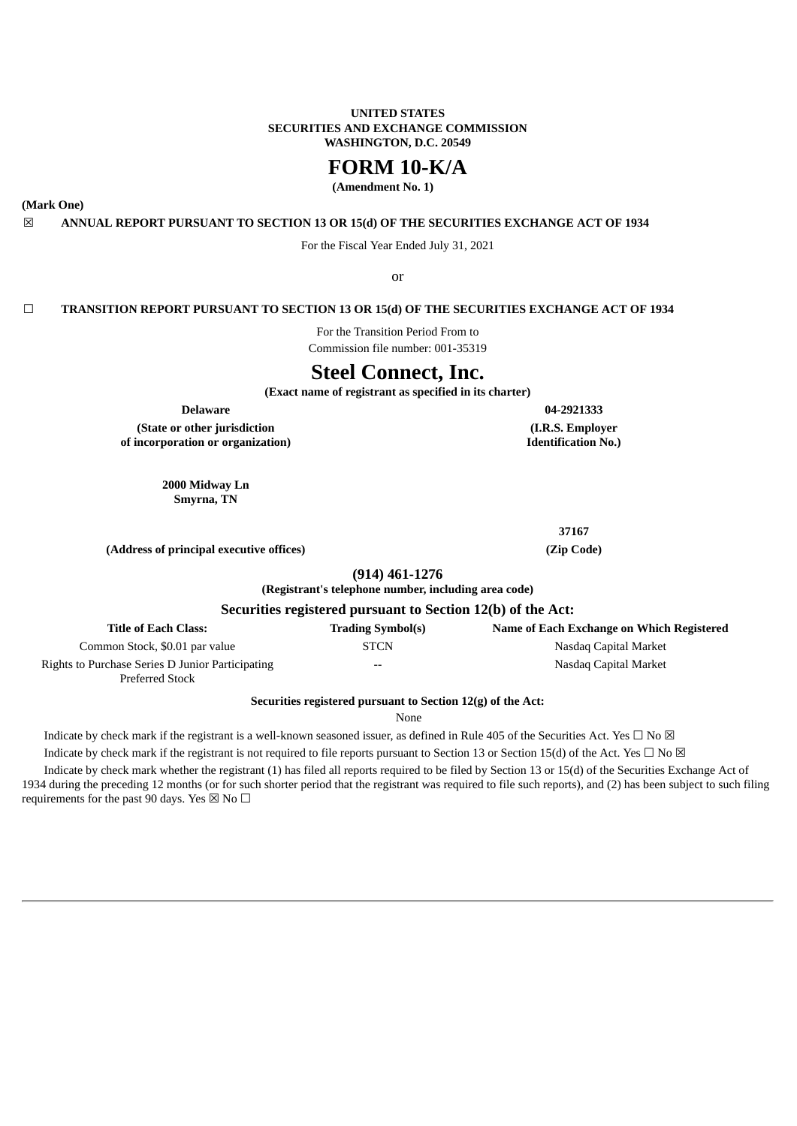## **UNITED STATES SECURITIES AND EXCHANGE COMMISSION WASHINGTON, D.C. 20549**

# **FORM 10-K/A**

**(Amendment No. 1)**

<span id="page-0-0"></span>**(Mark One)**

## ☒ **ANNUAL REPORT PURSUANT TO SECTION 13 OR 15(d) OF THE SECURITIES EXCHANGE ACT OF 1934**

For the Fiscal Year Ended July 31, 2021

or

## ☐ **TRANSITION REPORT PURSUANT TO SECTION 13 OR 15(d) OF THE SECURITIES EXCHANGE ACT OF 1934**

For the Transition Period From to

Commission file number: 001-35319

# **Steel Connect, Inc.**

**(Exact name of registrant as specified in its charter)**

**Delaware 04-2921333**

**(State or other jurisdiction of incorporation or organization)**

> **2000 Midway Ln Smyrna, TN**

> > **37167**

**(I.R.S. Employer Identification No.)**

**(Address of principal executive offices) (Zip Code)**

**(914) 461-1276**

**(Registrant's telephone number, including area code)**

## **Securities registered pursuant to Section 12(b) of the Act:**

| <b>Title of Each Class:</b>                      | <b>Trading Symbol(s)</b> | Name of Each Exchange on Which Registered |
|--------------------------------------------------|--------------------------|-------------------------------------------|
| Common Stock, \$0.01 par value                   | STCN                     | Nasdag Capital Market                     |
| Rights to Purchase Series D Junior Participating | $- -$                    | Nasdag Capital Market                     |
| <b>Preferred Stock</b>                           |                          |                                           |

**Securities registered pursuant to Section 12(g) of the Act:**

None

Indicate by check mark if the registrant is a well-known seasoned issuer, as defined in Rule 405 of the Securities Act. Yes  $\Box$  No  $\boxtimes$ 

Indicate by check mark if the registrant is not required to file reports pursuant to Section 13 or Section 15(d) of the Act. Yes  $\Box$  No  $\boxtimes$ 

Indicate by check mark whether the registrant (1) has filed all reports required to be filed by Section 13 or 15(d) of the Securities Exchange Act of 1934 during the preceding 12 months (or for such shorter period that the registrant was required to file such reports), and (2) has been subject to such filing requirements for the past 90 days. Yes  $\boxtimes$  No  $\Box$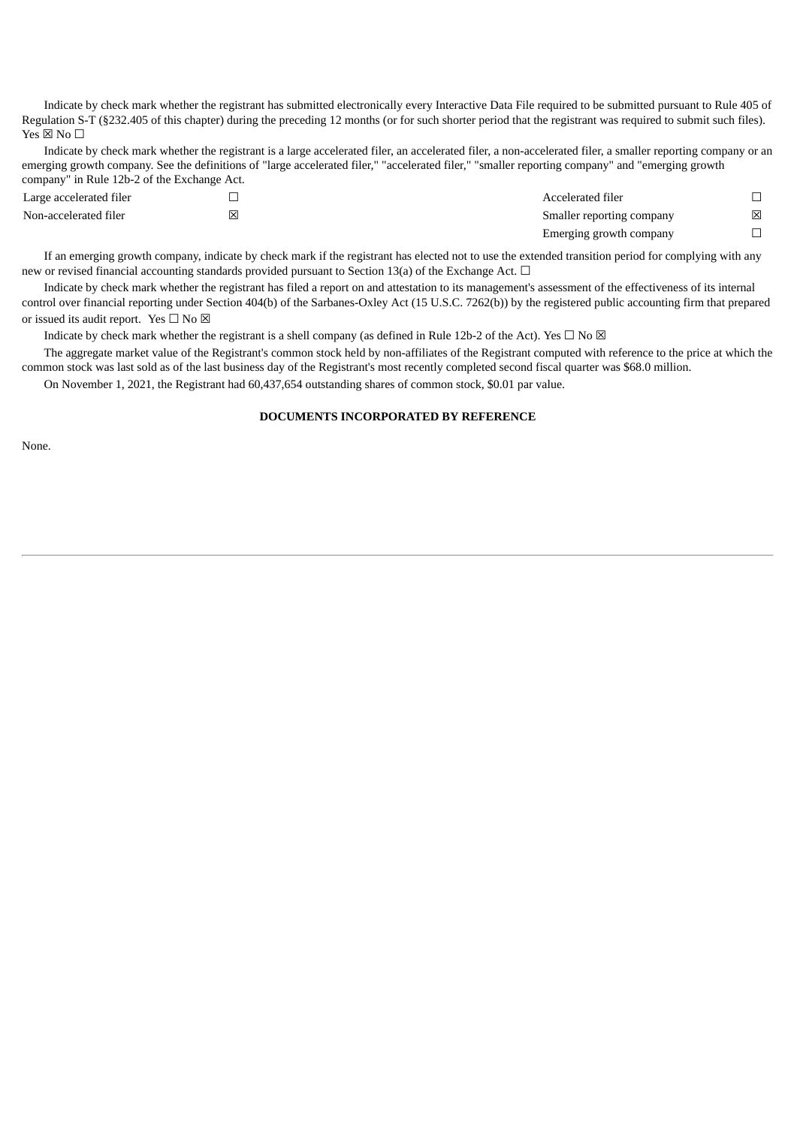Indicate by check mark whether the registrant has submitted electronically every Interactive Data File required to be submitted pursuant to Rule 405 of Regulation S-T (§232.405 of this chapter) during the preceding 12 months (or for such shorter period that the registrant was required to submit such files). Yes  $\boxtimes$  No  $\square$ 

Indicate by check mark whether the registrant is a large accelerated filer, an accelerated filer, a non-accelerated filer, a smaller reporting company or an emerging growth company. See the definitions of "large accelerated filer," "accelerated filer," "smaller reporting company" and "emerging growth company" in Rule 12b-2 of the Exchange Act.

| Large accelerated filer |   | Accelerated filer         |   |
|-------------------------|---|---------------------------|---|
| Non-accelerated filer   | 冈 | Smaller reporting company | ⊠ |
|                         |   | Emerging growth company   |   |

If an emerging growth company, indicate by check mark if the registrant has elected not to use the extended transition period for complying with any new or revised financial accounting standards provided pursuant to Section 13(a) of the Exchange Act.  $\Box$ 

Indicate by check mark whether the registrant has filed a report on and attestation to its management's assessment of the effectiveness of its internal control over financial reporting under Section 404(b) of the Sarbanes-Oxley Act (15 U.S.C. 7262(b)) by the registered public accounting firm that prepared or issued its audit report. Yes  $\square$  No  $\boxtimes$ 

Indicate by check mark whether the registrant is a shell company (as defined in Rule 12b-2 of the Act). Yes  $\Box$  No  $\boxtimes$ 

The aggregate market value of the Registrant's common stock held by non-affiliates of the Registrant computed with reference to the price at which the common stock was last sold as of the last business day of the Registrant's most recently completed second fiscal quarter was \$68.0 million.

On November 1, 2021, the Registrant had 60,437,654 outstanding shares of common stock, \$0.01 par value.

## **DOCUMENTS INCORPORATED BY REFERENCE**

None.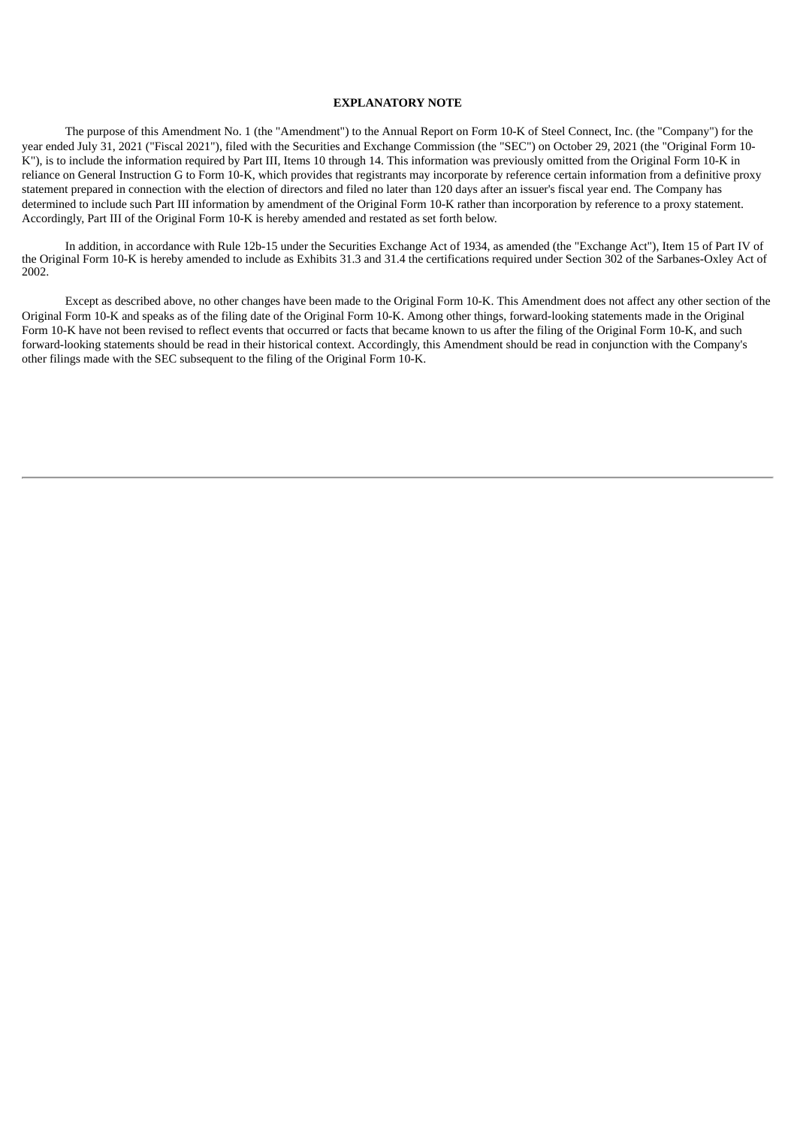## **EXPLANATORY NOTE**

The purpose of this Amendment No. 1 (the "Amendment") to the Annual Report on Form 10-K of Steel Connect, Inc. (the "Company") for the year ended July 31, 2021 ("Fiscal 2021"), filed with the Securities and Exchange Commission (the "SEC") on October 29, 2021 (the "Original Form 10- K"), is to include the information required by Part III, Items 10 through 14. This information was previously omitted from the Original Form 10-K in reliance on General Instruction G to Form 10-K, which provides that registrants may incorporate by reference certain information from a definitive proxy statement prepared in connection with the election of directors and filed no later than 120 days after an issuer's fiscal year end. The Company has determined to include such Part III information by amendment of the Original Form 10-K rather than incorporation by reference to a proxy statement. Accordingly, Part III of the Original Form 10-K is hereby amended and restated as set forth below.

In addition, in accordance with Rule 12b-15 under the Securities Exchange Act of 1934, as amended (the "Exchange Act"), Item 15 of Part IV of the Original Form 10-K is hereby amended to include as Exhibits 31.3 and 31.4 the certifications required under Section 302 of the Sarbanes-Oxley Act of 2002.

Except as described above, no other changes have been made to the Original Form 10-K. This Amendment does not affect any other section of the Original Form 10-K and speaks as of the filing date of the Original Form 10‑K. Among other things, forward-looking statements made in the Original Form 10-K have not been revised to reflect events that occurred or facts that became known to us after the filing of the Original Form 10-K, and such forward-looking statements should be read in their historical context. Accordingly, this Amendment should be read in conjunction with the Company's other filings made with the SEC subsequent to the filing of the Original Form 10-K.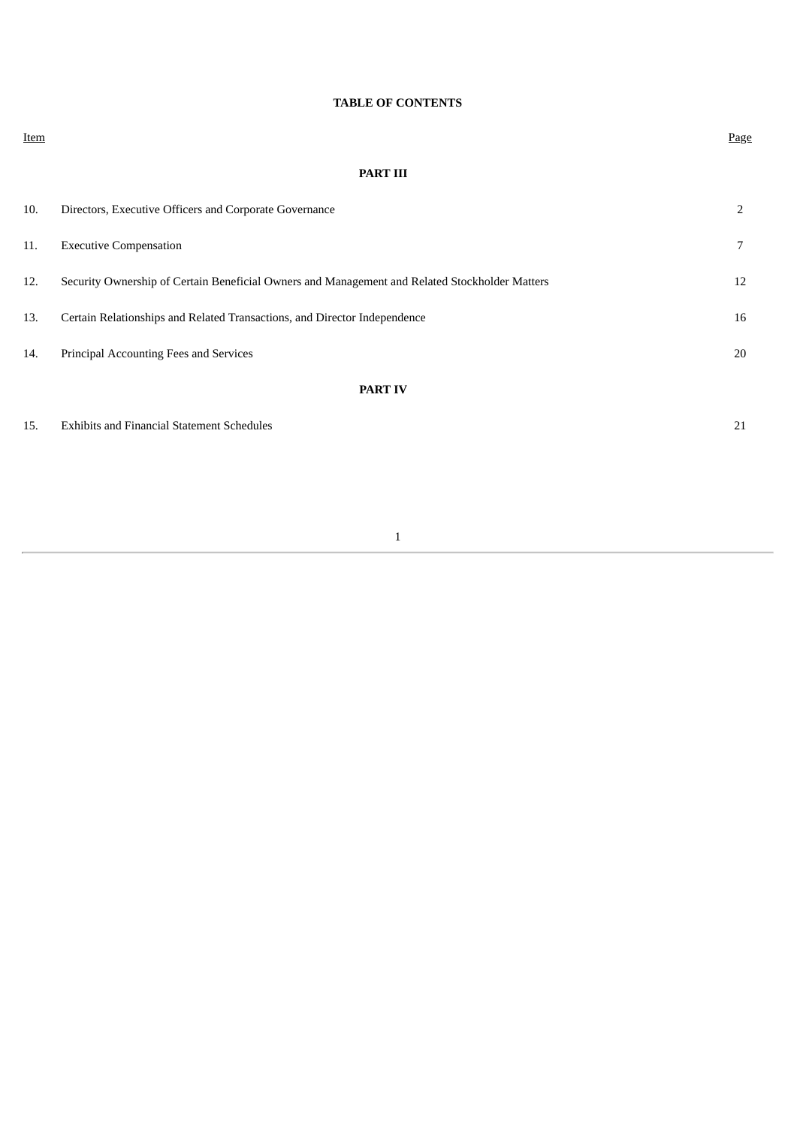## **TABLE OF CONTENTS**

**Item** experience that the contract of the contract of the contract of the contract of the contract of the contract of the contract of the contract of the contract of the contract of the contract of the contract of the con

## **[PART](#page-0-0) III**

| 10. | Directors, Executive Officers and Corporate Governance                                         | 2  |
|-----|------------------------------------------------------------------------------------------------|----|
| 11. | <b>Executive Compensation</b>                                                                  | 7  |
| 12. | Security Ownership of Certain Beneficial Owners and Management and Related Stockholder Matters | 12 |
| 13. | Certain Relationships and Related Transactions, and Director Independence                      | 16 |
| 14. | Principal Accounting Fees and Services                                                         | 20 |
|     | <b>PART IV</b>                                                                                 |    |
| 15. | <b>Exhibits and Financial Statement Schedules</b>                                              | 21 |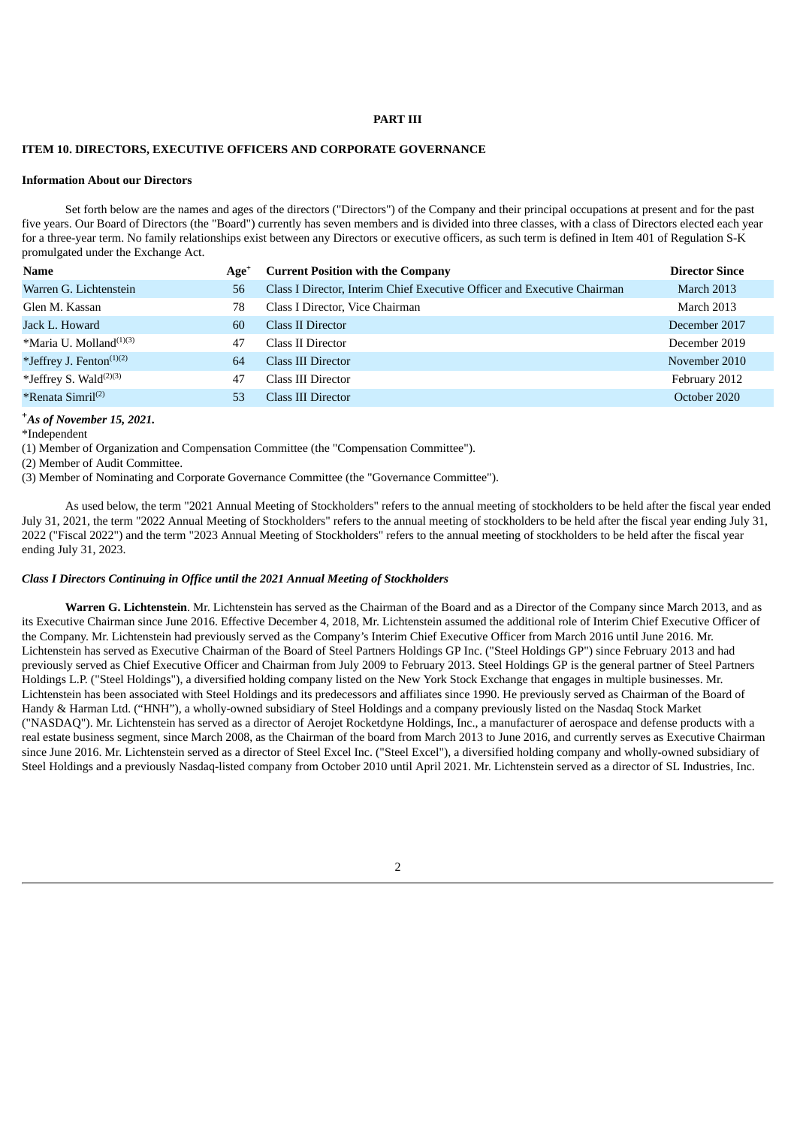### **PART III**

## **ITEM 10. DIRECTORS, EXECUTIVE OFFICERS AND CORPORATE GOVERNANCE**

#### **Information About our Directors**

Set forth below are the names and ages of the directors ("Directors") of the Company and their principal occupations at present and for the past five years. Our Board of Directors (the "Board") currently has seven members and is divided into three classes, with a class of Directors elected each year for a three-year term. No family relationships exist between any Directors or executive officers, as such term is defined in Item 401 of Regulation S-K promulgated under the Exchange Act.

| <b>Name</b>                          | Age <sup>+</sup> | <b>Current Position with the Company</b>                                 | <b>Director Since</b> |
|--------------------------------------|------------------|--------------------------------------------------------------------------|-----------------------|
| Warren G. Lichtenstein               | 56               | Class I Director, Interim Chief Executive Officer and Executive Chairman | <b>March 2013</b>     |
| Glen M. Kassan                       | 78               | Class I Director, Vice Chairman                                          | <b>March 2013</b>     |
| Jack L. Howard                       | 60               | Class II Director                                                        | December 2017         |
| *Maria U. Molland <sup>(1)(3)</sup>  | 47               | Class II Director                                                        | December 2019         |
| *Jeffrey J. Fenton <sup>(1)(2)</sup> | 64               | Class III Director                                                       | November 2010         |
| *Jeffrey S. Wald $^{(2)(3)}$         | 47               | Class III Director                                                       | February 2012         |
| *Renata Simril <sup>(2)</sup>        | 53               | Class III Director                                                       | October 2020          |

## *As of November 15, 2021.* **+**

\*Independent

(1) Member of Organization and Compensation Committee (the "Compensation Committee").

(2) Member of Audit Committee.

(3) Member of Nominating and Corporate Governance Committee (the "Governance Committee").

As used below, the term "2021 Annual Meeting of Stockholders" refers to the annual meeting of stockholders to be held after the fiscal year ended July 31, 2021, the term "2022 Annual Meeting of Stockholders" refers to the annual meeting of stockholders to be held after the fiscal year ending July 31, 2022 ("Fiscal 2022") and the term "2023 Annual Meeting of Stockholders" refers to the annual meeting of stockholders to be held after the fiscal year ending July 31, 2023.

## *Class I Directors Continuing in Office until the 2021 Annual Meeting of Stockholders*

**Warren G. Lichtenstein**. Mr. Lichtenstein has served as the Chairman of the Board and as a Director of the Company since March 2013, and as its Executive Chairman since June 2016. Effective December 4, 2018, Mr. Lichtenstein assumed the additional role of Interim Chief Executive Officer of the Company. Mr. Lichtenstein had previously served as the Company's Interim Chief Executive Officer from March 2016 until June 2016. Mr. Lichtenstein has served as Executive Chairman of the Board of Steel Partners Holdings GP Inc. ("Steel Holdings GP") since February 2013 and had previously served as Chief Executive Officer and Chairman from July 2009 to February 2013. Steel Holdings GP is the general partner of Steel Partners Holdings L.P. ("Steel Holdings"), a diversified holding company listed on the New York Stock Exchange that engages in multiple businesses. Mr. Lichtenstein has been associated with Steel Holdings and its predecessors and affiliates since 1990. He previously served as Chairman of the Board of Handy & Harman Ltd. ("HNH"), a wholly-owned subsidiary of Steel Holdings and a company previously listed on the Nasdaq Stock Market ("NASDAQ"). Mr. Lichtenstein has served as a director of Aerojet Rocketdyne Holdings, Inc., a manufacturer of aerospace and defense products with a real estate business segment, since March 2008, as the Chairman of the board from March 2013 to June 2016, and currently serves as Executive Chairman since June 2016. Mr. Lichtenstein served as a director of Steel Excel Inc. ("Steel Excel"), a diversified holding company and wholly-owned subsidiary of Steel Holdings and a previously Nasdaq-listed company from October 2010 until April 2021. Mr. Lichtenstein served as a director of SL Industries, Inc.

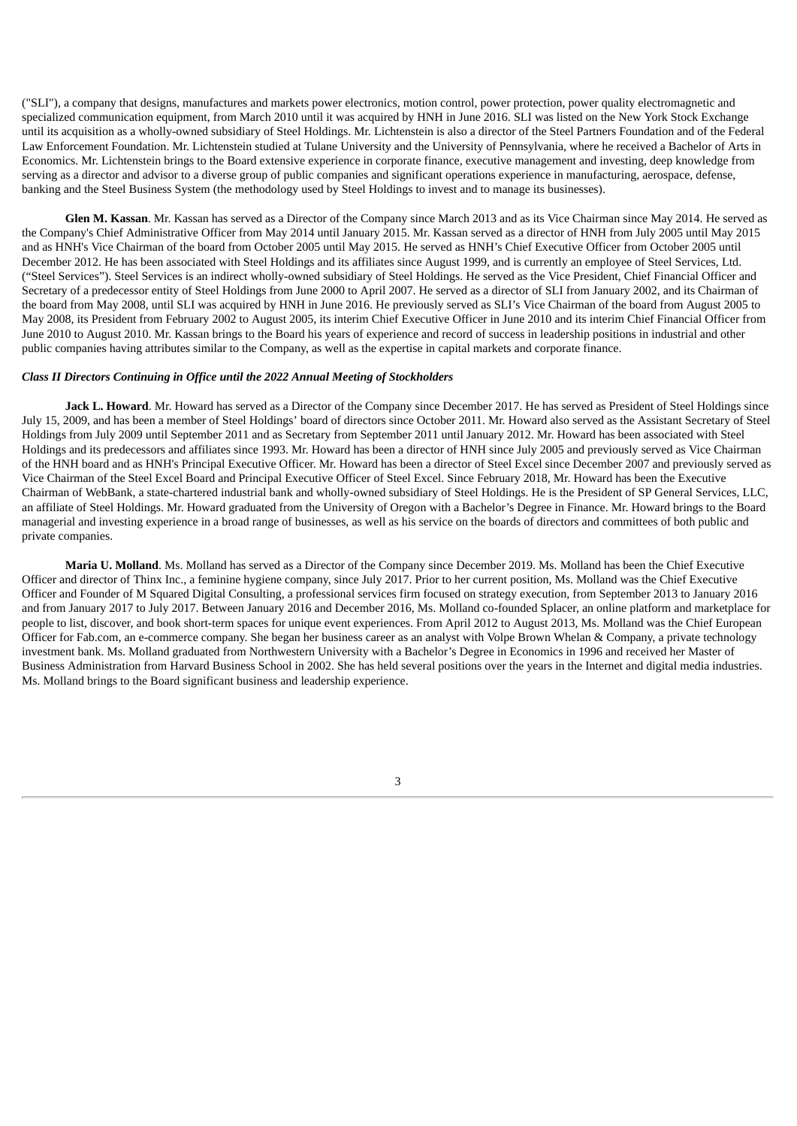("SLI"), a company that designs, manufactures and markets power electronics, motion control, power protection, power quality electromagnetic and specialized communication equipment, from March 2010 until it was acquired by HNH in June 2016. SLI was listed on the New York Stock Exchange until its acquisition as a wholly-owned subsidiary of Steel Holdings. Mr. Lichtenstein is also a director of the Steel Partners Foundation and of the Federal Law Enforcement Foundation. Mr. Lichtenstein studied at Tulane University and the University of Pennsylvania, where he received a Bachelor of Arts in Economics. Mr. Lichtenstein brings to the Board extensive experience in corporate finance, executive management and investing, deep knowledge from serving as a director and advisor to a diverse group of public companies and significant operations experience in manufacturing, aerospace, defense, banking and the Steel Business System (the methodology used by Steel Holdings to invest and to manage its businesses).

**Glen M. Kassan**. Mr. Kassan has served as a Director of the Company since March 2013 and as its Vice Chairman since May 2014. He served as the Company's Chief Administrative Officer from May 2014 until January 2015. Mr. Kassan served as a director of HNH from July 2005 until May 2015 and as HNH's Vice Chairman of the board from October 2005 until May 2015. He served as HNH's Chief Executive Officer from October 2005 until December 2012. He has been associated with Steel Holdings and its affiliates since August 1999, and is currently an employee of Steel Services, Ltd. ("Steel Services"). Steel Services is an indirect wholly-owned subsidiary of Steel Holdings. He served as the Vice President, Chief Financial Officer and Secretary of a predecessor entity of Steel Holdings from June 2000 to April 2007. He served as a director of SLI from January 2002, and its Chairman of the board from May 2008, until SLI was acquired by HNH in June 2016. He previously served as SLI's Vice Chairman of the board from August 2005 to May 2008, its President from February 2002 to August 2005, its interim Chief Executive Officer in June 2010 and its interim Chief Financial Officer from June 2010 to August 2010. Mr. Kassan brings to the Board his years of experience and record of success in leadership positions in industrial and other public companies having attributes similar to the Company, as well as the expertise in capital markets and corporate finance.

## *Class II Directors Continuing in Office until the 2022 Annual Meeting of Stockholders*

**Jack L. Howard**. Mr. Howard has served as a Director of the Company since December 2017. He has served as President of Steel Holdings since July 15, 2009, and has been a member of Steel Holdings' board of directors since October 2011. Mr. Howard also served as the Assistant Secretary of Steel Holdings from July 2009 until September 2011 and as Secretary from September 2011 until January 2012. Mr. Howard has been associated with Steel Holdings and its predecessors and affiliates since 1993. Mr. Howard has been a director of HNH since July 2005 and previously served as Vice Chairman of the HNH board and as HNH's Principal Executive Officer. Mr. Howard has been a director of Steel Excel since December 2007 and previously served as Vice Chairman of the Steel Excel Board and Principal Executive Officer of Steel Excel. Since February 2018, Mr. Howard has been the Executive Chairman of WebBank, a state-chartered industrial bank and wholly-owned subsidiary of Steel Holdings. He is the President of SP General Services, LLC, an affiliate of Steel Holdings. Mr. Howard graduated from the University of Oregon with a Bachelor's Degree in Finance. Mr. Howard brings to the Board managerial and investing experience in a broad range of businesses, as well as his service on the boards of directors and committees of both public and private companies.

**Maria U. Molland**. Ms. Molland has served as a Director of the Company since December 2019. Ms. Molland has been the Chief Executive Officer and director of Thinx Inc., a feminine hygiene company, since July 2017. Prior to her current position, Ms. Molland was the Chief Executive Officer and Founder of M Squared Digital Consulting, a professional services firm focused on strategy execution, from September 2013 to January 2016 and from January 2017 to July 2017. Between January 2016 and December 2016, Ms. Molland co-founded Splacer, an online platform and marketplace for people to list, discover, and book short-term spaces for unique event experiences. From April 2012 to August 2013, Ms. Molland was the Chief European Officer for Fab.com, an e-commerce company. She began her business career as an analyst with Volpe Brown Whelan & Company, a private technology investment bank. Ms. Molland graduated from Northwestern University with a Bachelor's Degree in Economics in 1996 and received her Master of Business Administration from Harvard Business School in 2002. She has held several positions over the years in the Internet and digital media industries. Ms. Molland brings to the Board significant business and leadership experience.

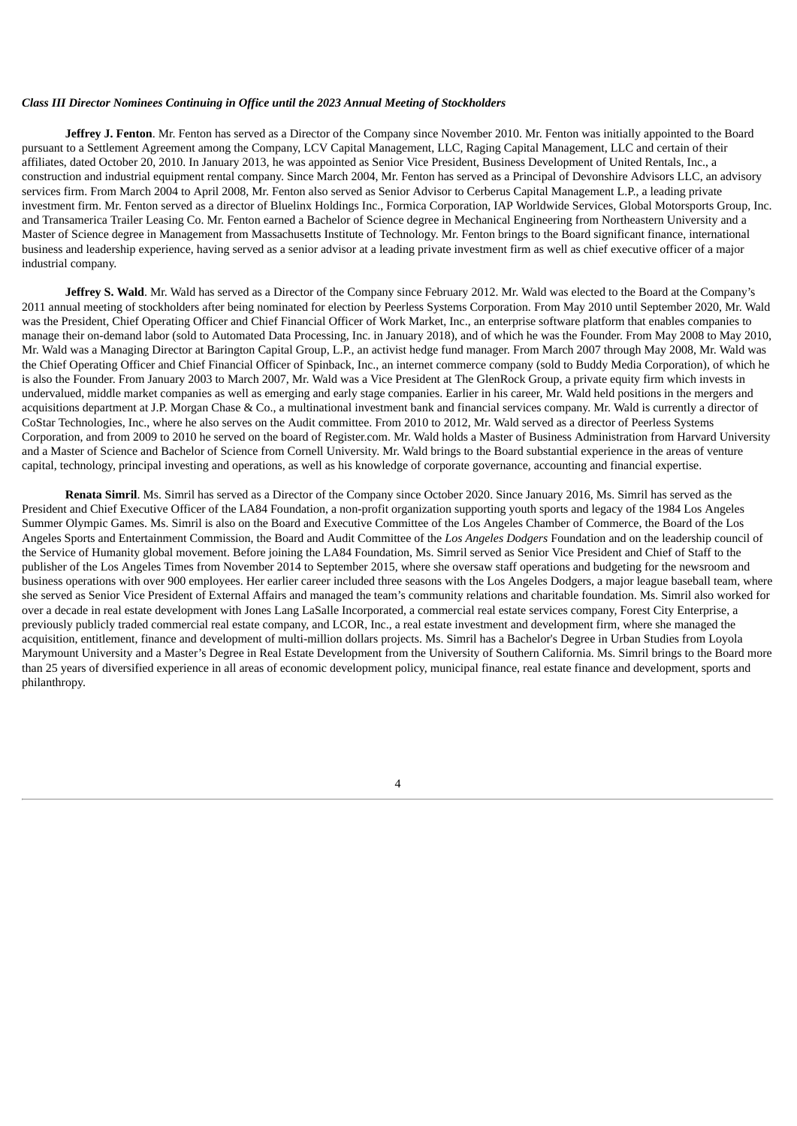## *Class III Director Nominees Continuing in Office until the 2023 Annual Meeting of Stockholders*

**Jeffrey J. Fenton**. Mr. Fenton has served as a Director of the Company since November 2010. Mr. Fenton was initially appointed to the Board pursuant to a Settlement Agreement among the Company, LCV Capital Management, LLC, Raging Capital Management, LLC and certain of their affiliates, dated October 20, 2010. In January 2013, he was appointed as Senior Vice President, Business Development of United Rentals, Inc., a construction and industrial equipment rental company. Since March 2004, Mr. Fenton has served as a Principal of Devonshire Advisors LLC, an advisory services firm. From March 2004 to April 2008, Mr. Fenton also served as Senior Advisor to Cerberus Capital Management L.P., a leading private investment firm. Mr. Fenton served as a director of Bluelinx Holdings Inc., Formica Corporation, IAP Worldwide Services, Global Motorsports Group, Inc. and Transamerica Trailer Leasing Co. Mr. Fenton earned a Bachelor of Science degree in Mechanical Engineering from Northeastern University and a Master of Science degree in Management from Massachusetts Institute of Technology. Mr. Fenton brings to the Board significant finance, international business and leadership experience, having served as a senior advisor at a leading private investment firm as well as chief executive officer of a major industrial company.

**Jeffrey S. Wald**. Mr. Wald has served as a Director of the Company since February 2012. Mr. Wald was elected to the Board at the Company's 2011 annual meeting of stockholders after being nominated for election by Peerless Systems Corporation. From May 2010 until September 2020, Mr. Wald was the President, Chief Operating Officer and Chief Financial Officer of Work Market, Inc., an enterprise software platform that enables companies to manage their on-demand labor (sold to Automated Data Processing, Inc. in January 2018), and of which he was the Founder. From May 2008 to May 2010, Mr. Wald was a Managing Director at Barington Capital Group, L.P., an activist hedge fund manager. From March 2007 through May 2008, Mr. Wald was the Chief Operating Officer and Chief Financial Officer of Spinback, Inc., an internet commerce company (sold to Buddy Media Corporation), of which he is also the Founder. From January 2003 to March 2007, Mr. Wald was a Vice President at The GlenRock Group, a private equity firm which invests in undervalued, middle market companies as well as emerging and early stage companies. Earlier in his career, Mr. Wald held positions in the mergers and acquisitions department at J.P. Morgan Chase & Co., a multinational investment bank and financial services company. Mr. Wald is currently a director of CoStar Technologies, Inc., where he also serves on the Audit committee. From 2010 to 2012, Mr. Wald served as a director of Peerless Systems Corporation, and from 2009 to 2010 he served on the board of Register.com. Mr. Wald holds a Master of Business Administration from Harvard University and a Master of Science and Bachelor of Science from Cornell University. Mr. Wald brings to the Board substantial experience in the areas of venture capital, technology, principal investing and operations, as well as his knowledge of corporate governance, accounting and financial expertise.

**Renata Simril**. Ms. Simril has served as a Director of the Company since October 2020. Since January 2016, Ms. Simril has served as the President and Chief Executive Officer of the LA84 Foundation, a non-profit organization supporting youth sports and legacy of the 1984 Los Angeles Summer Olympic Games. Ms. Simril is also on the Board and Executive Committee of the Los Angeles Chamber of Commerce, the Board of the Los Angeles Sports and Entertainment Commission, the Board and Audit Committee of the *Los Angeles Dodgers* Foundation and on the leadership council of the Service of Humanity global movement. Before joining the LA84 Foundation, Ms. Simril served as Senior Vice President and Chief of Staff to the publisher of the Los Angeles Times from November 2014 to September 2015, where she oversaw staff operations and budgeting for the newsroom and business operations with over 900 employees. Her earlier career included three seasons with the Los Angeles Dodgers, a major league baseball team, where she served as Senior Vice President of External Affairs and managed the team's community relations and charitable foundation. Ms. Simril also worked for over a decade in real estate development with Jones Lang LaSalle Incorporated, a commercial real estate services company, Forest City Enterprise, a previously publicly traded commercial real estate company, and LCOR, Inc., a real estate investment and development firm, where she managed the acquisition, entitlement, finance and development of multi-million dollars projects. Ms. Simril has a Bachelor's Degree in Urban Studies from Loyola Marymount University and a Master's Degree in Real Estate Development from the University of Southern California. Ms. Simril brings to the Board more than 25 years of diversified experience in all areas of economic development policy, municipal finance, real estate finance and development, sports and philanthropy.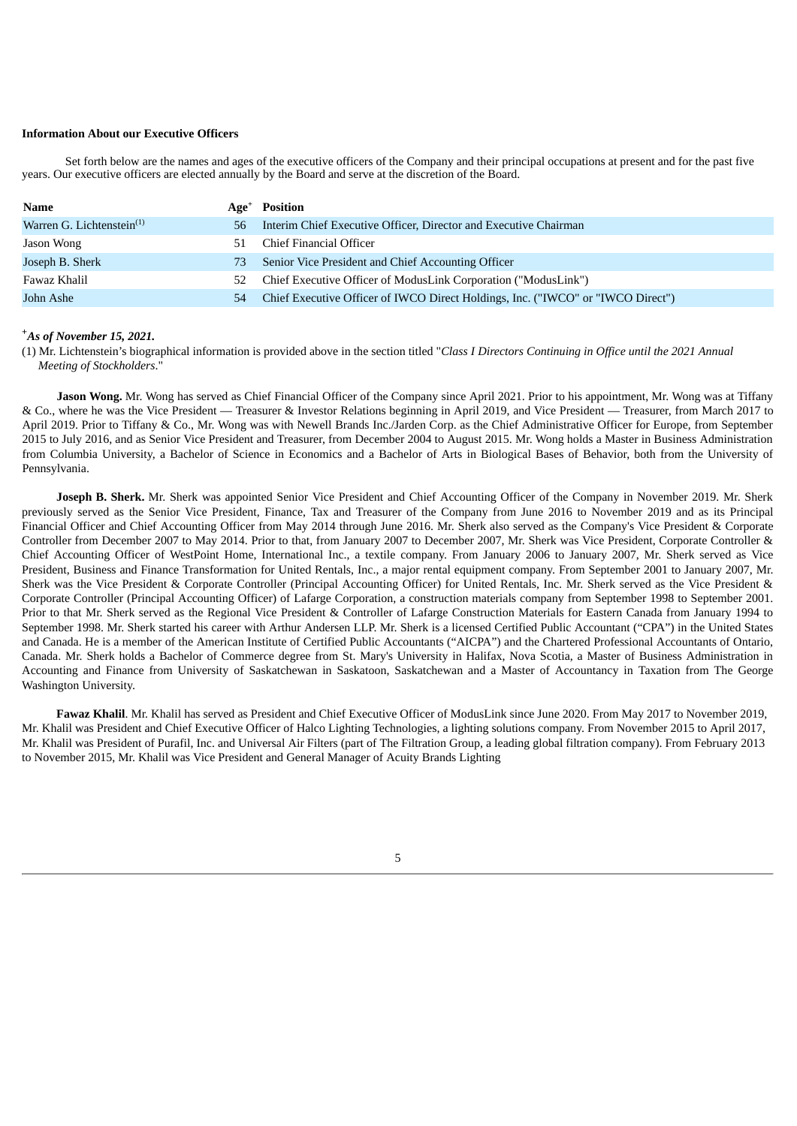## **Information About our Executive Officers**

Set forth below are the names and ages of the executive officers of the Company and their principal occupations at present and for the past five years. Our executive officers are elected annually by the Board and serve at the discretion of the Board.

| Name                         |    | Age <sup>+</sup> Position                                                       |
|------------------------------|----|---------------------------------------------------------------------------------|
| Warren G. Lichtenstein $(1)$ | 56 | Interim Chief Executive Officer, Director and Executive Chairman                |
| Jason Wong                   |    | Chief Financial Officer                                                         |
| Joseph B. Sherk              | 73 | Senior Vice President and Chief Accounting Officer                              |
| Fawaz Khalil                 | 52 | Chief Executive Officer of ModusLink Corporation ("ModusLink")                  |
| John Ashe                    | 54 | Chief Executive Officer of IWCO Direct Holdings, Inc. ("IWCO" or "IWCO Direct") |

## *As of November 15, 2021.* **+**

(1) Mr. Lichtenstein's biographical information is provided above in the section titled "*Class I Directors Continuing in Office until the 2021 Annual Meeting of Stockholders*."

**Jason Wong.** Mr. Wong has served as Chief Financial Officer of the Company since April 2021. Prior to his appointment, Mr. Wong was at Tiffany & Co., where he was the Vice President — Treasurer & Investor Relations beginning in April 2019, and Vice President — Treasurer, from March 2017 to April 2019. Prior to Tiffany & Co., Mr. Wong was with Newell Brands Inc./Jarden Corp. as the Chief Administrative Officer for Europe, from September 2015 to July 2016, and as Senior Vice President and Treasurer, from December 2004 to August 2015. Mr. Wong holds a Master in Business Administration from Columbia University, a Bachelor of Science in Economics and a Bachelor of Arts in Biological Bases of Behavior, both from the University of Pennsylvania.

**Joseph B. Sherk.** Mr. Sherk was appointed Senior Vice President and Chief Accounting Officer of the Company in November 2019. Mr. Sherk previously served as the Senior Vice President, Finance, Tax and Treasurer of the Company from June 2016 to November 2019 and as its Principal Financial Officer and Chief Accounting Officer from May 2014 through June 2016. Mr. Sherk also served as the Company's Vice President & Corporate Controller from December 2007 to May 2014. Prior to that, from January 2007 to December 2007, Mr. Sherk was Vice President, Corporate Controller & Chief Accounting Officer of WestPoint Home, International Inc., a textile company. From January 2006 to January 2007, Mr. Sherk served as Vice President, Business and Finance Transformation for United Rentals, Inc., a major rental equipment company. From September 2001 to January 2007, Mr. Sherk was the Vice President & Corporate Controller (Principal Accounting Officer) for United Rentals, Inc. Mr. Sherk served as the Vice President & Corporate Controller (Principal Accounting Officer) of Lafarge Corporation, a construction materials company from September 1998 to September 2001. Prior to that Mr. Sherk served as the Regional Vice President & Controller of Lafarge Construction Materials for Eastern Canada from January 1994 to September 1998. Mr. Sherk started his career with Arthur Andersen LLP. Mr. Sherk is a licensed Certified Public Accountant ("CPA") in the United States and Canada. He is a member of the American Institute of Certified Public Accountants ("AICPA") and the Chartered Professional Accountants of Ontario, Canada. Mr. Sherk holds a Bachelor of Commerce degree from St. Mary's University in Halifax, Nova Scotia, a Master of Business Administration in Accounting and Finance from University of Saskatchewan in Saskatoon, Saskatchewan and a Master of Accountancy in Taxation from The George Washington University.

**Fawaz Khalil**. Mr. Khalil has served as President and Chief Executive Officer of ModusLink since June 2020. From May 2017 to November 2019, Mr. Khalil was President and Chief Executive Officer of Halco Lighting Technologies, a lighting solutions company. From November 2015 to April 2017, Mr. Khalil was President of Purafil, Inc. and Universal Air Filters (part of The Filtration Group, a leading global filtration company). From February 2013 to November 2015, Mr. Khalil was Vice President and General Manager of Acuity Brands Lighting

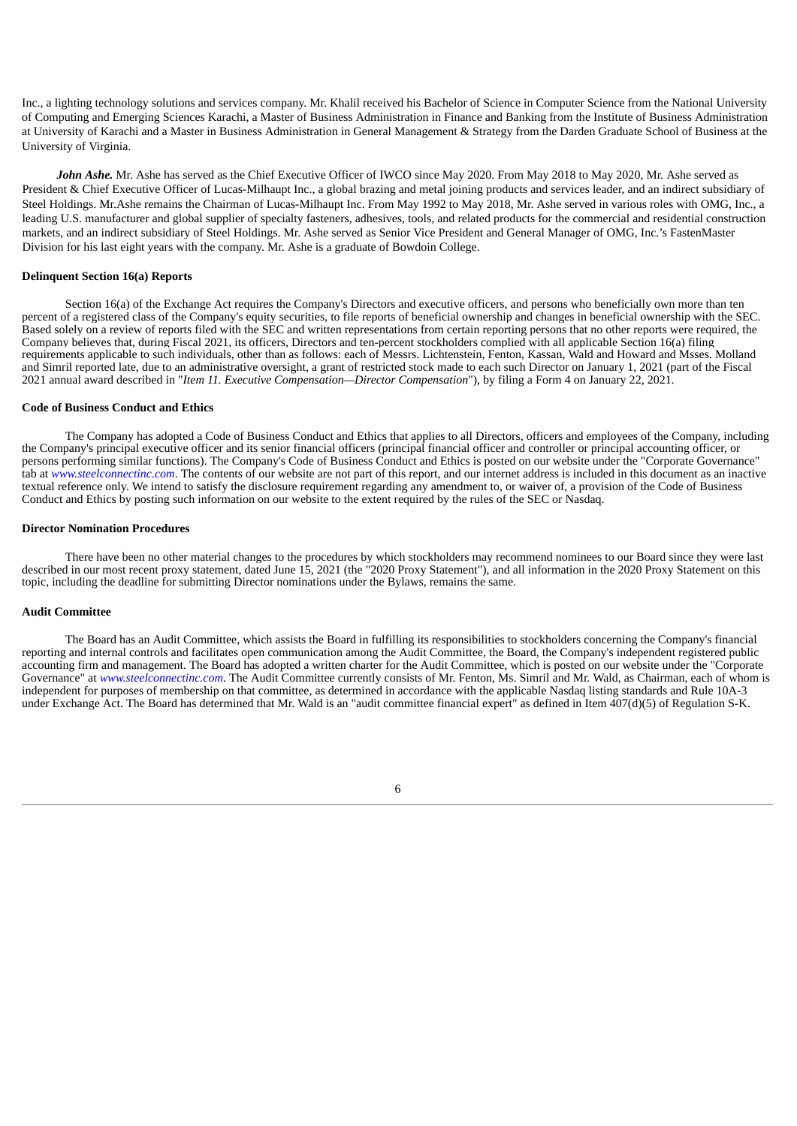Inc., a lighting technology solutions and services company. Mr. Khalil received his Bachelor of Science in Computer Science from the National University of Computing and Emerging Sciences Karachi, a Master of Business Administration in Finance and Banking from the Institute of Business Administration at University of Karachi and a Master in Business Administration in General Management & Strategy from the Darden Graduate School of Business at the University of Virginia.

*John Ashe.* Mr. Ashe has served as the Chief Executive Officer of IWCO since May 2020. From May 2018 to May 2020, Mr. Ashe served as President & Chief Executive Officer of Lucas-Milhaupt Inc., a global brazing and metal joining products and services leader, and an indirect subsidiary of Steel Holdings. Mr.Ashe remains the Chairman of Lucas-Milhaupt Inc. From May 1992 to May 2018, Mr. Ashe served in various roles with OMG, Inc., a leading U.S. manufacturer and global supplier of specialty fasteners, adhesives, tools, and related products for the commercial and residential construction markets, and an indirect subsidiary of Steel Holdings. Mr. Ashe served as Senior Vice President and General Manager of OMG, Inc.'s FastenMaster Division for his last eight years with the company. Mr. Ashe is a graduate of Bowdoin College.

### **Delinquent Section 16(a) Reports**

Section 16(a) of the Exchange Act requires the Company's Directors and executive officers, and persons who beneficially own more than ten percent of a registered class of the Company's equity securities, to file reports of beneficial ownership and changes in beneficial ownership with the SEC. Based solely on a review of reports filed with the SEC and written representations from certain reporting persons that no other reports were required, the Company believes that, during Fiscal 2021, its officers, Directors and ten-percent stockholders complied with all applicable Section 16(a) filing requirements applicable to such individuals, other than as follows: each of Messrs. Lichtenstein, Fenton, Kassan, Wald and Howard and Msses. Molland and Simril reported late, due to an administrative oversight, a grant of restricted stock made to each such Director on January 1, 2021 (part of the Fiscal 2021 annual award described in "*Item 11. Executive Compensation—Director Compensation*"), by filing a Form 4 on January 22, 2021.

#### **Code of Business Conduct and Ethics**

The Company has adopted a Code of Business Conduct and Ethics that applies to all Directors, officers and employees of the Company, including the Company's principal executive officer and its senior financial officers (principal financial officer and controller or principal accounting officer, or persons performing similar functions). The Company's Code of Business Conduct and Ethics is posted on our website under the "Corporate Governance" tab at *www.steelconnectinc.com*. The contents of our website are not part of this report, and our internet address is included in this document as an inactive textual reference only. We intend to satisfy the disclosure requirement regarding any amendment to, or waiver of, a provision of the Code of Business Conduct and Ethics by posting such information on our website to the extent required by the rules of the SEC or Nasdaq.

#### **Director Nomination Procedures**

There have been no other material changes to the procedures by which stockholders may recommend nominees to our Board since they were last described in our most recent proxy statement, dated June 15, 2021 (the "2020 Proxy Statement"), and all information in the 2020 Proxy Statement on this topic, including the deadline for submitting Director nominations under the Bylaws, remains the same.

## **Audit Committee**

The Board has an Audit Committee, which assists the Board in fulfilling its responsibilities to stockholders concerning the Company's financial reporting and internal controls and facilitates open communication among the Audit Committee, the Board, the Company's independent registered public accounting firm and management. The Board has adopted a written charter for the Audit Committee, which is posted on our website under the "Corporate Governance" at *www.steelconnectinc.com*. The Audit Committee currently consists of Mr. Fenton, Ms. Simril and Mr. Wald, as Chairman, each of whom is independent for purposes of membership on that committee, as determined in accordance with the applicable Nasdaq listing standards and Rule 10A-3 under Exchange Act. The Board has determined that Mr. Wald is an "audit committee financial expert" as defined in Item 407(d)(5) of Regulation S-K.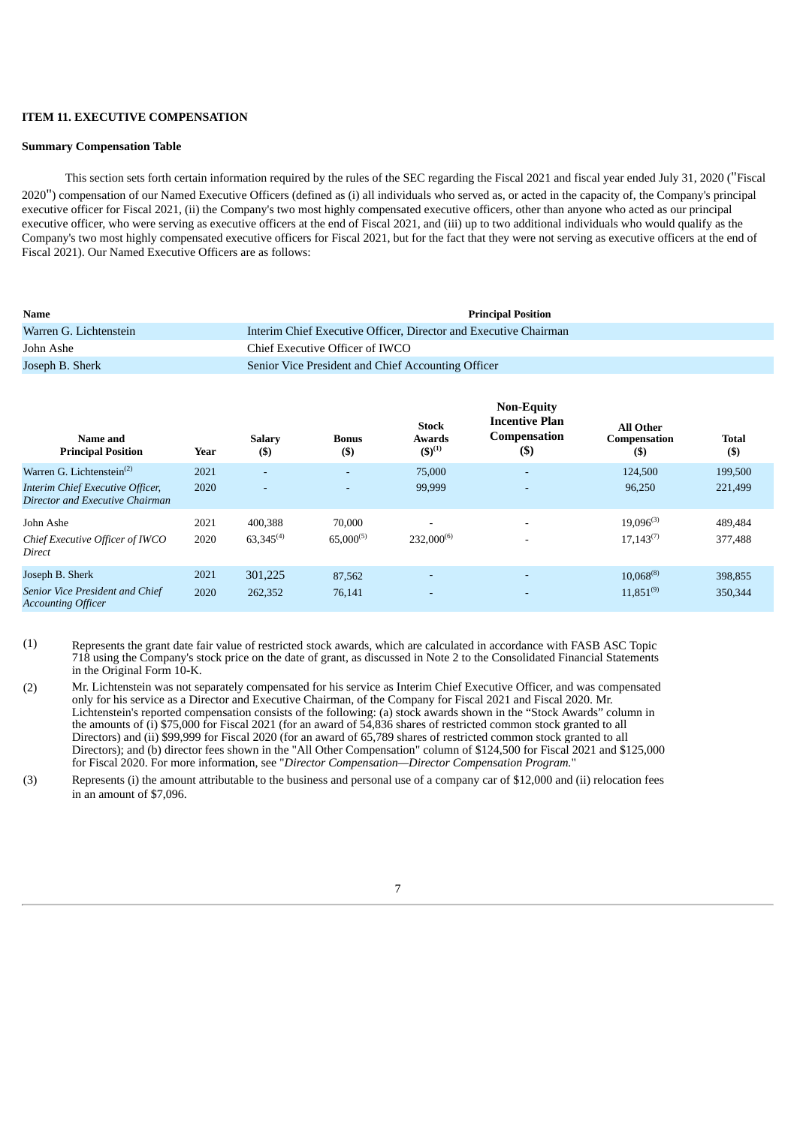## **ITEM 11. EXECUTIVE COMPENSATION**

### **Summary Compensation Table**

This section sets forth certain information required by the rules of the SEC regarding the Fiscal 2021 and fiscal year ended July 31, 2020 ("Fiscal 2020") compensation of our Named Executive Officers (defined as (i) all individuals who served as, or acted in the capacity of, the Company's principal executive officer for Fiscal 2021, (ii) the Company's two most highly compensated executive officers, other than anyone who acted as our principal executive officer, who were serving as executive officers at the end of Fiscal 2021, and (iii) up to two additional individuals who would qualify as the Company's two most highly compensated executive officers for Fiscal 2021, but for the fact that they were not serving as executive officers at the end of Fiscal 2021). Our Named Executive Officers are as follows:

| <b>Name</b>            | <b>Principal Position</b>                                        |
|------------------------|------------------------------------------------------------------|
| Warren G. Lichtenstein | Interim Chief Executive Officer, Director and Executive Chairman |
| John Ashe              | Chief Executive Officer of IWCO                                  |
| Joseph B. Sherk        | Senior Vice President and Chief Accounting Officer               |
|                        |                                                                  |

| Name and<br><b>Principal Position</b>                               | Year | <b>Salary</b><br>$($)$ | <b>Bonus</b><br>$($ \$) | <b>Stock</b><br><b>Awards</b><br>$(5)^{(1)}$ | <b>Non-Equity</b><br><b>Incentive Plan</b><br><b>Compensation</b><br>$($ \$ | <b>All Other</b><br>Compensation<br>$($ \$ | <b>Total</b><br>$($ \$ |
|---------------------------------------------------------------------|------|------------------------|-------------------------|----------------------------------------------|-----------------------------------------------------------------------------|--------------------------------------------|------------------------|
| Warren G. Lichtenstein <sup>(2)</sup>                               | 2021 | ۰                      | $\sim$                  | 75,000                                       | $\overline{\phantom{0}}$                                                    | 124,500                                    | 199,500                |
| Interim Chief Executive Officer,<br>Director and Executive Chairman | 2020 | ٠                      | $\sim$                  | 99,999                                       | $\overline{\phantom{0}}$                                                    | 96,250                                     | 221,499                |
| John Ashe                                                           | 2021 | 400,388                | 70,000                  | $\overline{\phantom{0}}$                     |                                                                             | $19,096^{(3)}$                             | 489,484                |
| Chief Executive Officer of IWCO<br>Direct                           | 2020 | $63,345^{(4)}$         | $65,000^{(5)}$          | $232,000^{(6)}$                              |                                                                             | $17,143^{(7)}$                             | 377,488                |
| Joseph B. Sherk                                                     | 2021 | 301,225                | 87,562                  | $\overline{\phantom{a}}$                     |                                                                             | $10.068^{(8)}$                             | 398,855                |
| Senior Vice President and Chief<br><b>Accounting Officer</b>        | 2020 | 262,352                | 76,141                  | <b>.</b>                                     |                                                                             | $11,851^{(9)}$                             | 350,344                |

- (1) Represents the grant date fair value of restricted stock awards, which are calculated in accordance with FASB ASC Topic 718 using the Company's stock price on the date of grant, as discussed in Note 2 to the Consolidated Financial Statements in the Original Form 10-K.
- (2) Mr. Lichtenstein was not separately compensated for his service as Interim Chief Executive Officer, and was compensated only for his service as a Director and Executive Chairman, of the Company for Fiscal 2021 and Fiscal 2020. Mr. Lichtenstein's reported compensation consists of the following: (a) stock awards shown in the "Stock Awards" column in the amounts of (i) \$75,000 for Fiscal 2021 (for an award of 54,836 shares of restricted common stock granted to all Directors) and (ii) \$99,999 for Fiscal 2020 (for an award of 65,789 shares of restricted common stock granted to all Directors); and (b) director fees shown in the "All Other Compensation" column of \$124,500 for Fiscal 2021 and \$125,000 for Fiscal 2020. For more information, see "*Director Compensation—Director Compensation Program.*"
- (3) Represents (i) the amount attributable to the business and personal use of a company car of \$12,000 and (ii) relocation fees in an amount of \$7,096.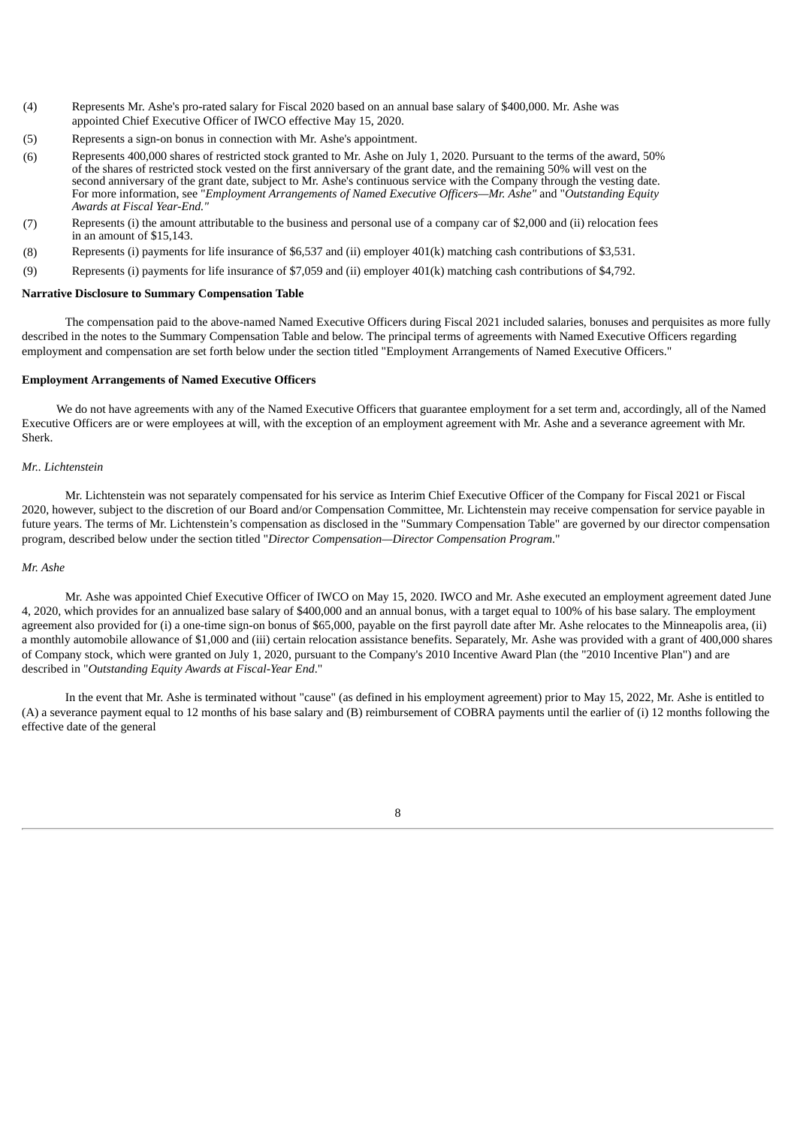- (4) Represents Mr. Ashe's pro-rated salary for Fiscal 2020 based on an annual base salary of \$400,000. Mr. Ashe was appointed Chief Executive Officer of IWCO effective May 15, 2020.
- (5) Represents a sign-on bonus in connection with Mr. Ashe's appointment.
- (6) Represents 400,000 shares of restricted stock granted to Mr. Ashe on July 1, 2020. Pursuant to the terms of the award, 50% of the shares of restricted stock vested on the first anniversary of the grant date, and the remaining 50% will vest on the second anniversary of the grant date, subject to Mr. Ashe's continuous service with the Company through the vesting date. For more information, see "*Employment Arrangements of Named Executive Officers—Mr. Ashe"* and "*Outstanding Equity Awards at Fiscal Year-End."*
- (7) Represents (i) the amount attributable to the business and personal use of a company car of \$2,000 and (ii) relocation fees in an amount of \$15,143.
- (8) Represents (i) payments for life insurance of \$6,537 and (ii) employer 401(k) matching cash contributions of \$3,531.
- (9) Represents (i) payments for life insurance of \$7,059 and (ii) employer 401(k) matching cash contributions of \$4,792.

## **Narrative Disclosure to Summary Compensation Table**

The compensation paid to the above-named Named Executive Officers during Fiscal 2021 included salaries, bonuses and perquisites as more fully described in the notes to the Summary Compensation Table and below. The principal terms of agreements with Named Executive Officers regarding employment and compensation are set forth below under the section titled "Employment Arrangements of Named Executive Officers."

## **Employment Arrangements of Named Executive Officers**

We do not have agreements with any of the Named Executive Officers that guarantee employment for a set term and, accordingly, all of the Named Executive Officers are or were employees at will, with the exception of an employment agreement with Mr. Ashe and a severance agreement with Mr. Sherk.

## *Mr.. Lichtenstein*

Mr. Lichtenstein was not separately compensated for his service as Interim Chief Executive Officer of the Company for Fiscal 2021 or Fiscal 2020, however, subject to the discretion of our Board and/or Compensation Committee, Mr. Lichtenstein may receive compensation for service payable in future years. The terms of Mr. Lichtenstein's compensation as disclosed in the "Summary Compensation Table" are governed by our director compensation program, described below under the section titled "*Director Compensation—Director Compensation Program*."

## *Mr. Ashe*

Mr. Ashe was appointed Chief Executive Officer of IWCO on May 15, 2020. IWCO and Mr. Ashe executed an employment agreement dated June 4, 2020, which provides for an annualized base salary of \$400,000 and an annual bonus, with a target equal to 100% of his base salary. The employment agreement also provided for (i) a one-time sign-on bonus of \$65,000, payable on the first payroll date after Mr. Ashe relocates to the Minneapolis area, (ii) a monthly automobile allowance of \$1,000 and (iii) certain relocation assistance benefits. Separately, Mr. Ashe was provided with a grant of 400,000 shares of Company stock, which were granted on July 1, 2020, pursuant to the Company's 2010 Incentive Award Plan (the "2010 Incentive Plan") and are described in "*Outstanding Equity Awards at Fiscal-Year End*."

In the event that Mr. Ashe is terminated without "cause" (as defined in his employment agreement) prior to May 15, 2022, Mr. Ashe is entitled to (A) a severance payment equal to 12 months of his base salary and (B) reimbursement of COBRA payments until the earlier of (i) 12 months following the effective date of the general

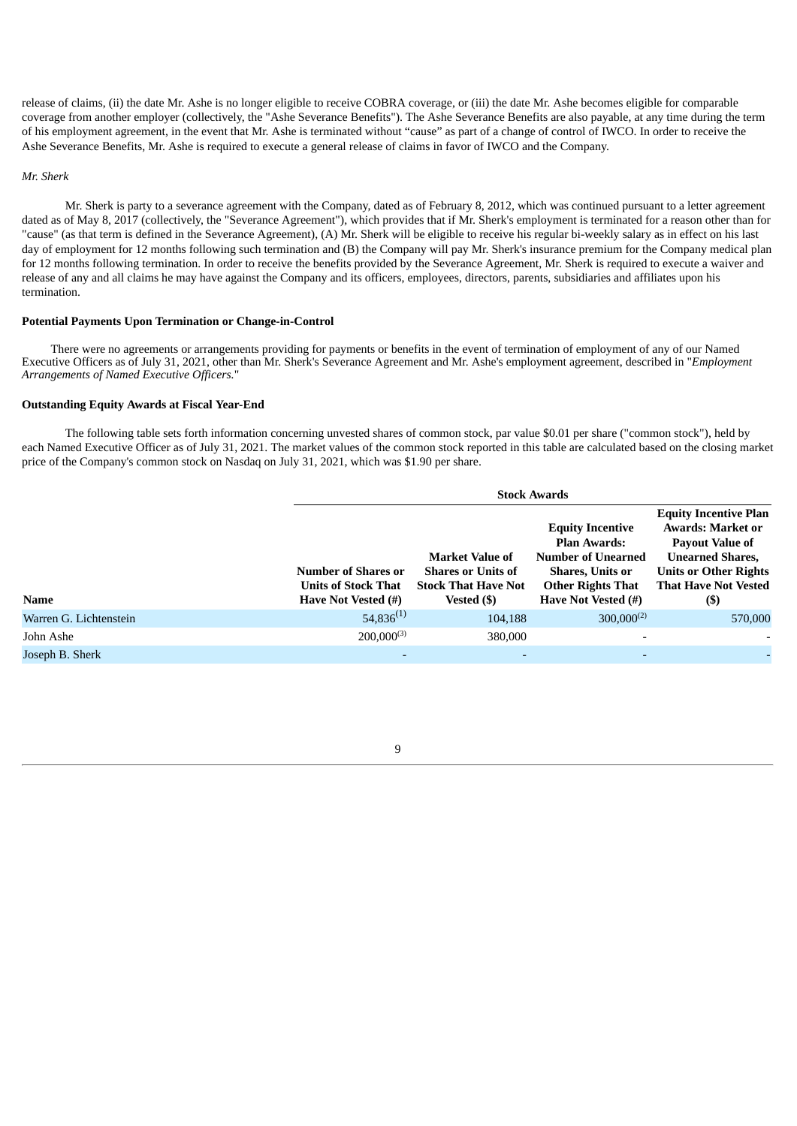release of claims, (ii) the date Mr. Ashe is no longer eligible to receive COBRA coverage, or (iii) the date Mr. Ashe becomes eligible for comparable coverage from another employer (collectively, the "Ashe Severance Benefits"). The Ashe Severance Benefits are also payable, at any time during the term of his employment agreement, in the event that Mr. Ashe is terminated without "cause" as part of a change of control of IWCO. In order to receive the Ashe Severance Benefits, Mr. Ashe is required to execute a general release of claims in favor of IWCO and the Company.

### *Mr. Sherk*

Mr. Sherk is party to a severance agreement with the Company, dated as of February 8, 2012, which was continued pursuant to a letter agreement dated as of May 8, 2017 (collectively, the "Severance Agreement"), which provides that if Mr. Sherk's employment is terminated for a reason other than for "cause" (as that term is defined in the Severance Agreement), (A) Mr. Sherk will be eligible to receive his regular bi-weekly salary as in effect on his last day of employment for 12 months following such termination and (B) the Company will pay Mr. Sherk's insurance premium for the Company medical plan for 12 months following termination. In order to receive the benefits provided by the Severance Agreement, Mr. Sherk is required to execute a waiver and release of any and all claims he may have against the Company and its officers, employees, directors, parents, subsidiaries and affiliates upon his termination.

## **Potential Payments Upon Termination or Change-in-Control**

There were no agreements or arrangements providing for payments or benefits in the event of termination of employment of any of our Named Executive Officers as of July 31, 2021, other than Mr. Sherk's Severance Agreement and Mr. Ashe's employment agreement, described in "*Employment Arrangements of Named Executive Officers.*"

### **Outstanding Equity Awards at Fiscal Year-End**

The following table sets forth information concerning unvested shares of common stock, par value \$0.01 per share ("common stock"), held by each Named Executive Officer as of July 31, 2021. The market values of the common stock reported in this table are calculated based on the closing market price of the Company's common stock on Nasdaq on July 31, 2021, which was \$1.90 per share.

|                        | <b>Stock Awards</b>                                                             |                                                                                                         |                                                                                                                                                           |                                                                                                                                                                                        |  |  |
|------------------------|---------------------------------------------------------------------------------|---------------------------------------------------------------------------------------------------------|-----------------------------------------------------------------------------------------------------------------------------------------------------------|----------------------------------------------------------------------------------------------------------------------------------------------------------------------------------------|--|--|
| <b>Name</b>            | <b>Number of Shares or</b><br><b>Units of Stock That</b><br>Have Not Vested (#) | <b>Market Value of</b><br><b>Shares or Units of</b><br><b>Stock That Have Not</b><br><b>Vested</b> (\$) | <b>Equity Incentive</b><br><b>Plan Awards:</b><br><b>Number of Unearned</b><br><b>Shares, Units or</b><br><b>Other Rights That</b><br>Have Not Vested (#) | <b>Equity Incentive Plan</b><br><b>Awards: Market or</b><br><b>Payout Value of</b><br><b>Unearned Shares,</b><br><b>Units or Other Rights</b><br><b>That Have Not Vested</b><br>$($ \$ |  |  |
| Warren G. Lichtenstein | $54,836^{(1)}$                                                                  | 104,188                                                                                                 | $300,000^{(2)}$                                                                                                                                           | 570,000                                                                                                                                                                                |  |  |
| John Ashe              | $200.000^{(3)}$                                                                 | 380,000                                                                                                 |                                                                                                                                                           |                                                                                                                                                                                        |  |  |
| Joseph B. Sherk        |                                                                                 |                                                                                                         |                                                                                                                                                           |                                                                                                                                                                                        |  |  |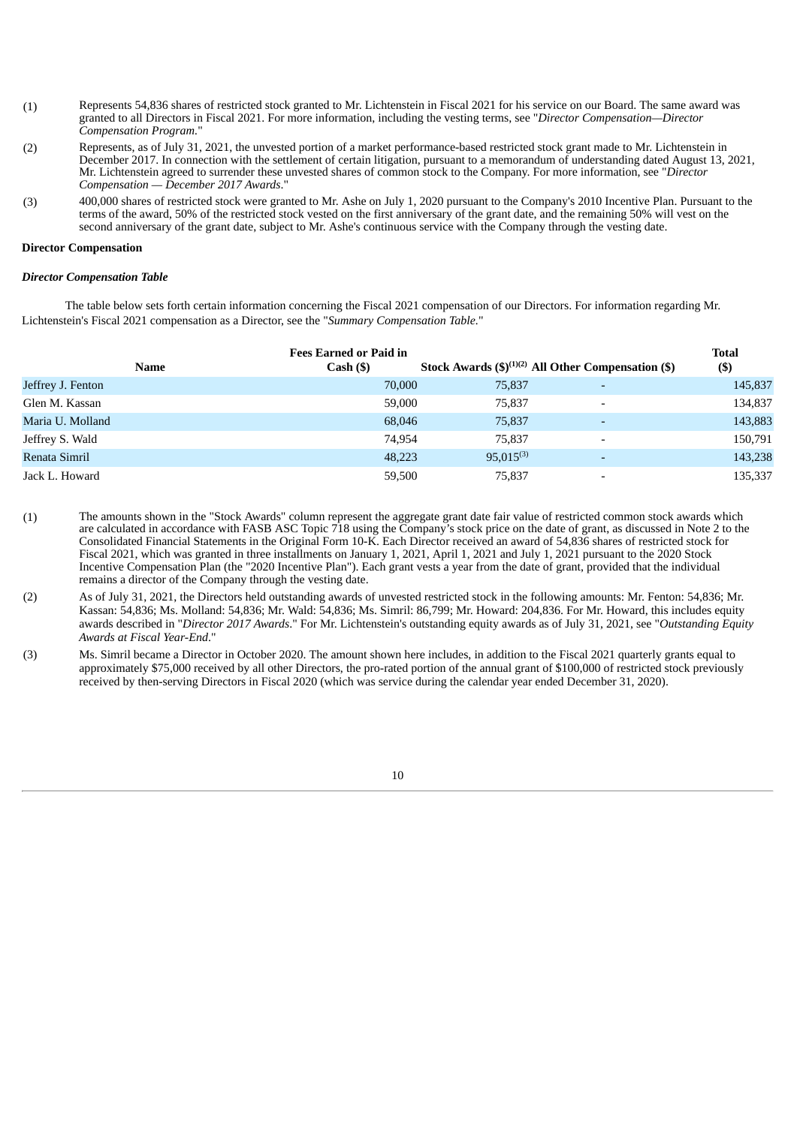- (1) Represents 54,836 shares of restricted stock granted to Mr. Lichtenstein in Fiscal 2021 for his service on our Board. The same award was granted to all Directors in Fiscal 2021. For more information, including the vesting terms, see "*Director Compensation—Director Compensation Program.*"
- (2) Represents, as of July 31, 2021, the unvested portion of a market performance-based restricted stock grant made to Mr. Lichtenstein in December 2017. In connection with the settlement of certain litigation, pursuant to a memorandum of understanding dated August 13, 2021, Mr. Lichtenstein agreed to surrender these unvested shares of common stock to the Company. For more information, see "*Director Compensation — December 2017 Awards*."
- (3) 400,000 shares of restricted stock were granted to Mr. Ashe on July 1, 2020 pursuant to the Company's 2010 Incentive Plan. Pursuant to the terms of the award, 50% of the restricted stock vested on the first anniversary of the grant date, and the remaining 50% will vest on the second anniversary of the grant date, subject to Mr. Ashe's continuous service with the Company through the vesting date.

### **Director Compensation**

### *Director Compensation Table*

The table below sets forth certain information concerning the Fiscal 2021 compensation of our Directors. For information regarding Mr. Lichtenstein's Fiscal 2021 compensation as a Director, see the "*Summary Compensation Table.*"

| Name              | <b>Fees Earned or Paid in</b><br>Cash ( <sub>9</sub> ) |                | Stock Awards $(\text{$\mathfrak{H}$})^{(1)(2)}$ All Other Compensation (\$) | <b>Total</b><br>$($)$ |
|-------------------|--------------------------------------------------------|----------------|-----------------------------------------------------------------------------|-----------------------|
| Jeffrey J. Fenton | 70,000                                                 | 75,837         | $\overline{\phantom{0}}$                                                    | 145,837               |
| Glen M. Kassan    | 59,000                                                 | 75,837         | $\overline{\phantom{a}}$                                                    | 134,837               |
| Maria U. Molland  | 68,046                                                 | 75,837         | $\overline{\phantom{0}}$                                                    | 143,883               |
| Jeffrey S. Wald   | 74.954                                                 | 75,837         | $\overline{\phantom{0}}$                                                    | 150,791               |
| Renata Simril     | 48,223                                                 | $95.015^{(3)}$ |                                                                             | 143,238               |
| Jack L. Howard    | 59,500                                                 | 75,837         | $\overline{\phantom{0}}$                                                    | 135,337               |

- (1) The amounts shown in the "Stock Awards" column represent the aggregate grant date fair value of restricted common stock awards which are calculated in accordance with FASB ASC Topic 718 using the Company's stock price on the date of grant, as discussed in Note 2 to the Consolidated Financial Statements in the Original Form 10-K. Each Director received an award of 54,836 shares of restricted stock for Fiscal 2021, which was granted in three installments on January 1, 2021, April 1, 2021 and July 1, 2021 pursuant to the 2020 Stock Incentive Compensation Plan (the "2020 Incentive Plan"). Each grant vests a year from the date of grant, provided that the individual remains a director of the Company through the vesting date.
- (2) As of July 31, 2021, the Directors held outstanding awards of unvested restricted stock in the following amounts: Mr. Fenton: 54,836; Mr. Kassan: 54,836; Ms. Molland: 54,836; Mr. Wald: 54,836; Ms. Simril: 86,799; Mr. Howard: 204,836. For Mr. Howard, this includes equity awards described in "*Director 2017 Awards*." For Mr. Lichtenstein's outstanding equity awards as of July 31, 2021, see "*Outstanding Equity Awards at Fiscal Year-End*."
- (3) Ms. Simril became a Director in October 2020. The amount shown here includes, in addition to the Fiscal 2021 quarterly grants equal to approximately \$75,000 received by all other Directors, the pro-rated portion of the annual grant of \$100,000 of restricted stock previously received by then-serving Directors in Fiscal 2020 (which was service during the calendar year ended December 31, 2020).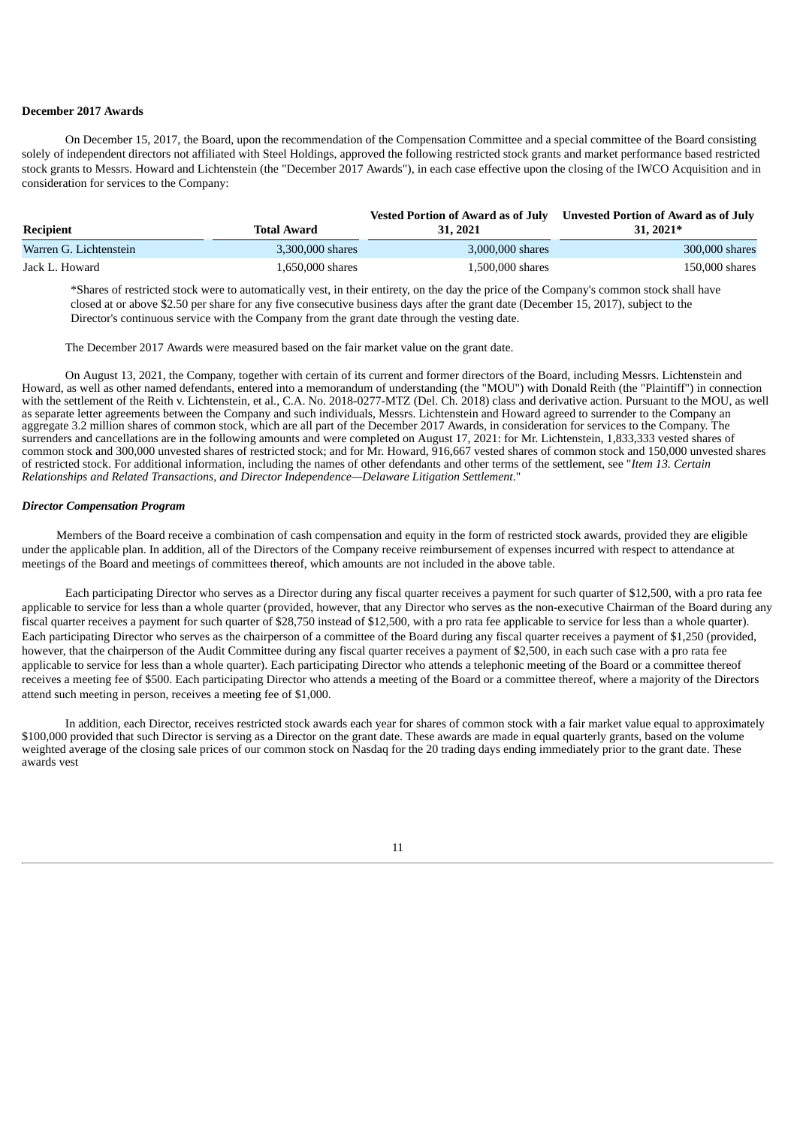## **December 2017 Awards**

On December 15, 2017, the Board, upon the recommendation of the Compensation Committee and a special committee of the Board consisting solely of independent directors not affiliated with Steel Holdings, approved the following restricted stock grants and market performance based restricted stock grants to Messrs. Howard and Lichtenstein (the "December 2017 Awards"), in each case effective upon the closing of the IWCO Acquisition and in consideration for services to the Company:

| Recipient              | Total Award      | <b>Vested Portion of Award as of July</b><br>31, 2021 | Unvested Portion of Award as of July<br>31, 2021* |
|------------------------|------------------|-------------------------------------------------------|---------------------------------------------------|
| Warren G. Lichtenstein | 3.300.000 shares | 3,000,000 shares                                      | 300,000 shares                                    |
| Jack L. Howard         | 1.650.000 shares | 1,500,000 shares                                      | 150,000 shares                                    |

\*Shares of restricted stock were to automatically vest, in their entirety, on the day the price of the Company's common stock shall have closed at or above \$2.50 per share for any five consecutive business days after the grant date (December 15, 2017), subject to the Director's continuous service with the Company from the grant date through the vesting date.

The December 2017 Awards were measured based on the fair market value on the grant date.

On August 13, 2021, the Company, together with certain of its current and former directors of the Board, including Messrs. Lichtenstein and Howard, as well as other named defendants, entered into a memorandum of understanding (the "MOU") with Donald Reith (the "Plaintiff") in connection with the settlement of the Reith v. Lichtenstein, et al., C.A. No. 2018-0277-MTZ (Del. Ch. 2018) class and derivative action. Pursuant to the MOU, as well as separate letter agreements between the Company and such individuals, Messrs. Lichtenstein and Howard agreed to surrender to the Company an aggregate 3.2 million shares of common stock, which are all part of the December 2017 Awards, in consideration for services to the Company. The surrenders and cancellations are in the following amounts and were completed on August 17, 2021: for Mr. Lichtenstein, 1,833,333 vested shares of common stock and 300,000 unvested shares of restricted stock; and for Mr. Howard, 916,667 vested shares of common stock and 150,000 unvested shares of restricted stock. For additional information, including the names of other defendants and other terms of the settlement, see "*Item 13. Certain Relationships and Related Transactions, and Director Independence—Delaware Litigation Settlement*."

## *Director Compensation Program*

Members of the Board receive a combination of cash compensation and equity in the form of restricted stock awards, provided they are eligible under the applicable plan. In addition, all of the Directors of the Company receive reimbursement of expenses incurred with respect to attendance at meetings of the Board and meetings of committees thereof, which amounts are not included in the above table.

Each participating Director who serves as a Director during any fiscal quarter receives a payment for such quarter of \$12,500, with a pro rata fee applicable to service for less than a whole quarter (provided, however, that any Director who serves as the non-executive Chairman of the Board during any fiscal quarter receives a payment for such quarter of \$28,750 instead of \$12,500, with a pro rata fee applicable to service for less than a whole quarter). Each participating Director who serves as the chairperson of a committee of the Board during any fiscal quarter receives a payment of \$1,250 (provided, however, that the chairperson of the Audit Committee during any fiscal quarter receives a payment of \$2,500, in each such case with a pro rata fee applicable to service for less than a whole quarter). Each participating Director who attends a telephonic meeting of the Board or a committee thereof receives a meeting fee of \$500. Each participating Director who attends a meeting of the Board or a committee thereof, where a majority of the Directors attend such meeting in person, receives a meeting fee of \$1,000.

In addition, each Director, receives restricted stock awards each year for shares of common stock with a fair market value equal to approximately \$100,000 provided that such Director is serving as a Director on the grant date. These awards are made in equal quarterly grants, based on the volume weighted average of the closing sale prices of our common stock on Nasdaq for the 20 trading days ending immediately prior to the grant date. These awards vest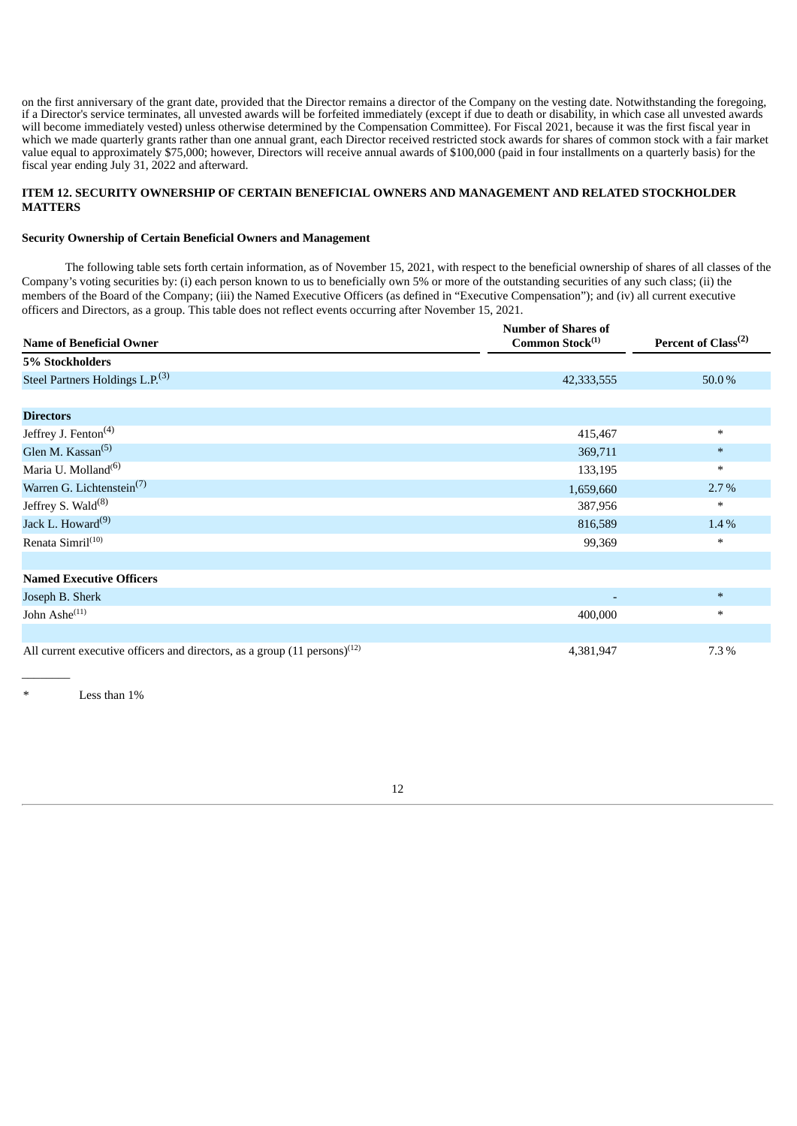on the first anniversary of the grant date, provided that the Director remains a director of the Company on the vesting date. Notwithstanding the foregoing, if a Director's service terminates, all unvested awards will be forfeited immediately (except if due to death or disability, in which case all unvested awards will become immediately vested) unless otherwise determined by the Compensation Committee). For Fiscal 2021, because it was the first fiscal year in which we made quarterly grants rather than one annual grant, each Director received restricted stock awards for shares of common stock with a fair market value equal to approximately \$75,000; however, Directors will receive annual awards of \$100,000 (paid in four installments on a quarterly basis) for the fiscal year ending July 31, 2022 and afterward.

## **ITEM 12. SECURITY OWNERSHIP OF CERTAIN BENEFICIAL OWNERS AND MANAGEMENT AND RELATED STOCKHOLDER MATTERS**

### **Security Ownership of Certain Beneficial Owners and Management**

The following table sets forth certain information, as of November 15, 2021, with respect to the beneficial ownership of shares of all classes of the Company's voting securities by: (i) each person known to us to beneficially own 5% or more of the outstanding securities of any such class; (ii) the members of the Board of the Company; (iii) the Named Executive Officers (as defined in "Executive Compensation"); and (iv) all current executive officers and Directors, as a group. This table does not reflect events occurring after November 15, 2021.

| <b>Name of Beneficial Owner</b>                                                        | <b>Number of Shares of</b><br>Common Stock $^{(1)}$ | Percent of Class <sup>(2)</sup> |
|----------------------------------------------------------------------------------------|-----------------------------------------------------|---------------------------------|
| 5% Stockholders                                                                        |                                                     |                                 |
| Steel Partners Holdings L.P. <sup>(3)</sup>                                            | 42,333,555                                          | 50.0%                           |
|                                                                                        |                                                     |                                 |
| <b>Directors</b>                                                                       |                                                     |                                 |
| Jeffrey J. Fenton <sup>(4)</sup>                                                       | 415,467                                             | $\ast$                          |
| Glen M. Kassan <sup>(5)</sup>                                                          | 369,711                                             | $\ast$                          |
| Maria U. Molland <sup>(6)</sup>                                                        | 133,195                                             | $\ast$                          |
| Warren G. Lichtenstein <sup>(7)</sup>                                                  | 1,659,660                                           | $2.7\%$                         |
| Jeffrey S. Wald <sup>(8)</sup>                                                         | 387,956                                             | $\ast$                          |
| Jack L. Howard <sup>(9)</sup>                                                          | 816,589                                             | 1.4%                            |
| Renata Simril <sup>(10)</sup>                                                          | 99,369                                              | $\ast$                          |
|                                                                                        |                                                     |                                 |
| <b>Named Executive Officers</b>                                                        |                                                     |                                 |
| Joseph B. Sherk                                                                        |                                                     | $\ast$                          |
| John Ashe <sup>(11)</sup>                                                              | 400,000                                             | $\ast$                          |
|                                                                                        |                                                     |                                 |
| All current executive officers and directors, as a group $(11 \text{ persons})^{(12)}$ | 4,381,947                                           | 7.3%                            |

Less than  $1%$ 

 $\overline{\phantom{a}}$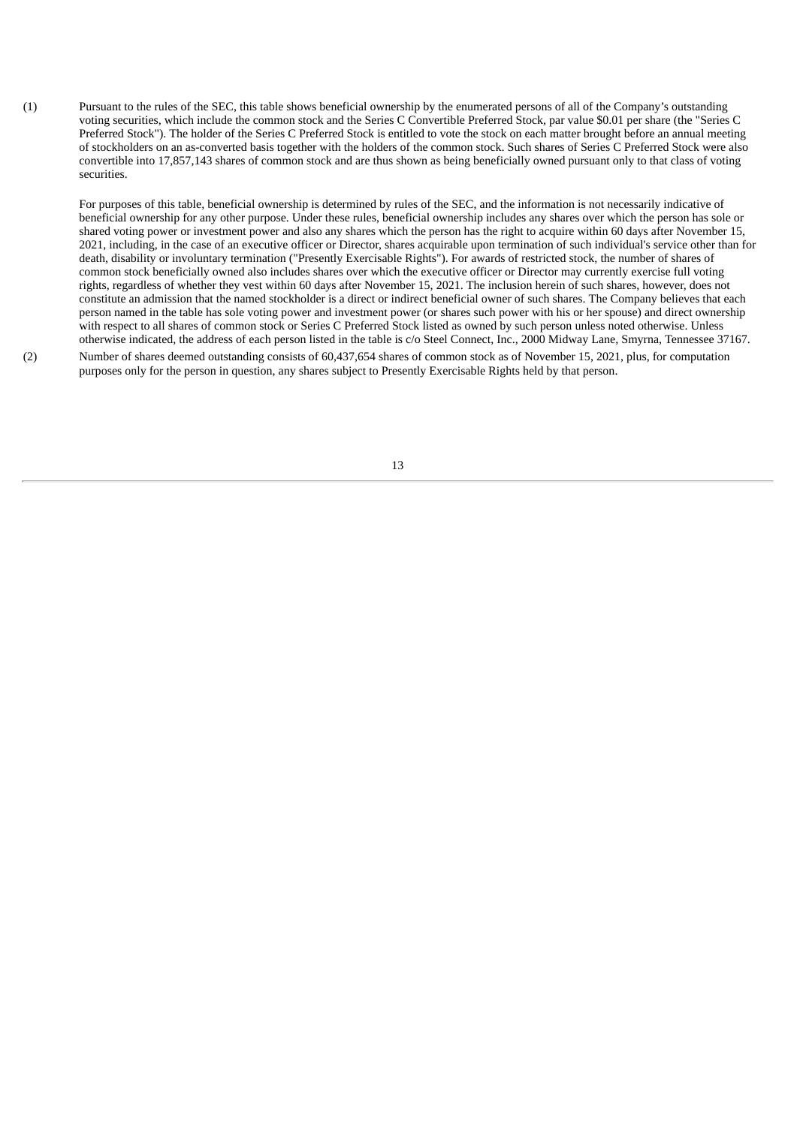(1) Pursuant to the rules of the SEC, this table shows beneficial ownership by the enumerated persons of all of the Company's outstanding voting securities, which include the common stock and the Series C Convertible Preferred Stock, par value \$0.01 per share (the "Series C Preferred Stock"). The holder of the Series C Preferred Stock is entitled to vote the stock on each matter brought before an annual meeting of stockholders on an as-converted basis together with the holders of the common stock. Such shares of Series C Preferred Stock were also convertible into 17,857,143 shares of common stock and are thus shown as being beneficially owned pursuant only to that class of voting securities.

For purposes of this table, beneficial ownership is determined by rules of the SEC, and the information is not necessarily indicative of beneficial ownership for any other purpose. Under these rules, beneficial ownership includes any shares over which the person has sole or shared voting power or investment power and also any shares which the person has the right to acquire within 60 days after November 15, 2021, including, in the case of an executive officer or Director, shares acquirable upon termination of such individual's service other than for death, disability or involuntary termination ("Presently Exercisable Rights"). For awards of restricted stock, the number of shares of common stock beneficially owned also includes shares over which the executive officer or Director may currently exercise full voting rights, regardless of whether they vest within 60 days after November 15, 2021. The inclusion herein of such shares, however, does not constitute an admission that the named stockholder is a direct or indirect beneficial owner of such shares. The Company believes that each person named in the table has sole voting power and investment power (or shares such power with his or her spouse) and direct ownership with respect to all shares of common stock or Series C Preferred Stock listed as owned by such person unless noted otherwise. Unless otherwise indicated, the address of each person listed in the table is c/o Steel Connect, Inc., 2000 Midway Lane, Smyrna, Tennessee 37167.

(2) Number of shares deemed outstanding consists of 60,437,654 shares of common stock as of November 15, 2021, plus, for computation purposes only for the person in question, any shares subject to Presently Exercisable Rights held by that person.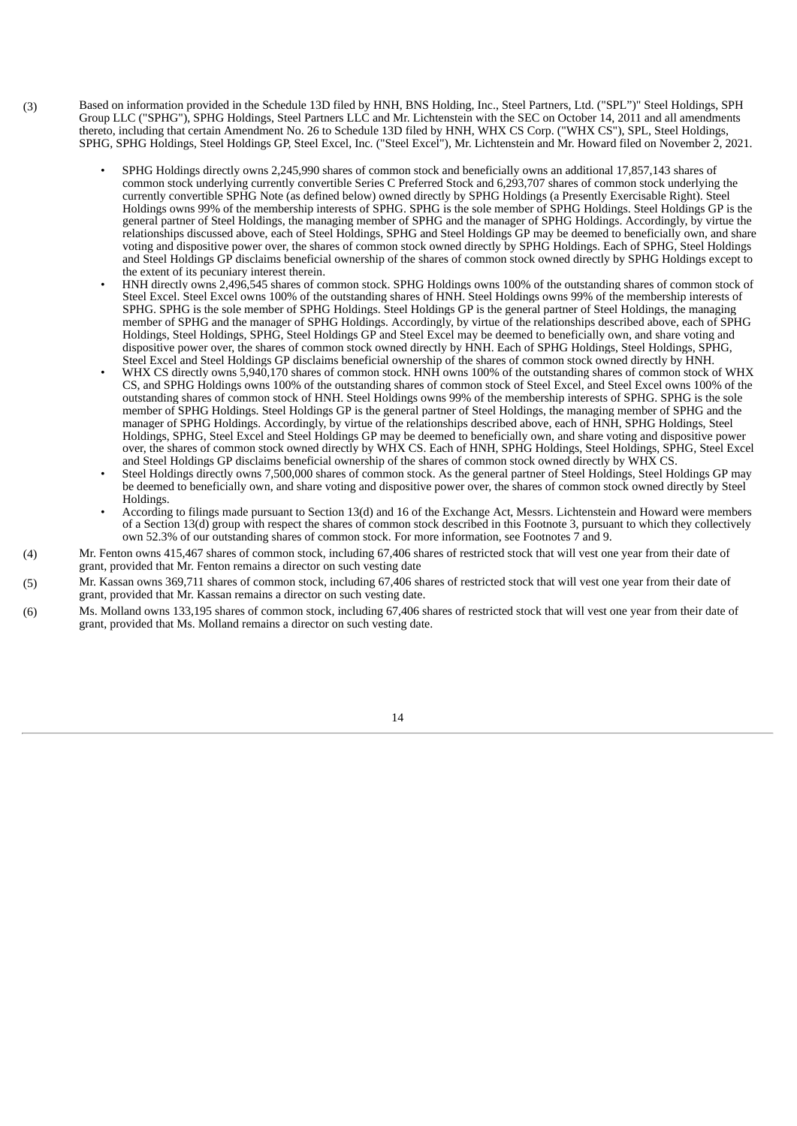- (3) Based on information provided in the Schedule 13D filed by HNH, BNS Holding, Inc., Steel Partners, Ltd. ("SPL")" Steel Holdings, SPH Group LLC ("SPHG"), SPHG Holdings, Steel Partners LLC and Mr. Lichtenstein with the SEC on October 14, 2011 and all amendments thereto, including that certain Amendment No. 26 to Schedule 13D filed by HNH, WHX CS Corp. ("WHX CS"), SPL, Steel Holdings, SPHG, SPHG Holdings, Steel Holdings GP, Steel Excel, Inc. ("Steel Excel"), Mr. Lichtenstein and Mr. Howard filed on November 2, 2021.
	- SPHG Holdings directly owns 2,245,990 shares of common stock and beneficially owns an additional 17,857,143 shares of common stock underlying currently convertible Series C Preferred Stock and 6,293,707 shares of common stock underlying the currently convertible SPHG Note (as defined below) owned directly by SPHG Holdings (a Presently Exercisable Right). Steel Holdings owns 99% of the membership interests of SPHG. SPHG is the sole member of SPHG Holdings. Steel Holdings GP is the general partner of Steel Holdings, the managing member of SPHG and the manager of SPHG Holdings. Accordingly, by virtue the relationships discussed above, each of Steel Holdings, SPHG and Steel Holdings GP may be deemed to beneficially own, and share voting and dispositive power over, the shares of common stock owned directly by SPHG Holdings. Each of SPHG, Steel Holdings and Steel Holdings GP disclaims beneficial ownership of the shares of common stock owned directly by SPHG Holdings except to the extent of its pecuniary interest therein.
	- HNH directly owns 2,496,545 shares of common stock. SPHG Holdings owns 100% of the outstanding shares of common stock of Steel Excel. Steel Excel owns 100% of the outstanding shares of HNH. Steel Holdings owns 99% of the membership interests of SPHG. SPHG is the sole member of SPHG Holdings. Steel Holdings GP is the general partner of Steel Holdings, the managing member of SPHG and the manager of SPHG Holdings. Accordingly, by virtue of the relationships described above, each of SPHG Holdings, Steel Holdings, SPHG, Steel Holdings GP and Steel Excel may be deemed to beneficially own, and share voting and dispositive power over, the shares of common stock owned directly by HNH. Each of SPHG Holdings, Steel Holdings, SPHG, Steel Excel and Steel Holdings GP disclaims beneficial ownership of the shares of common stock owned directly by HNH.
	- WHX CS directly owns 5,940,170 shares of common stock. HNH owns 100% of the outstanding shares of common stock of WHX CS, and SPHG Holdings owns 100% of the outstanding shares of common stock of Steel Excel, and Steel Excel owns 100% of the outstanding shares of common stock of HNH. Steel Holdings owns 99% of the membership interests of SPHG. SPHG is the sole member of SPHG Holdings. Steel Holdings GP is the general partner of Steel Holdings, the managing member of SPHG and the manager of SPHG Holdings. Accordingly, by virtue of the relationships described above, each of HNH, SPHG Holdings, Steel Holdings, SPHG, Steel Excel and Steel Holdings GP may be deemed to beneficially own, and share voting and dispositive power over, the shares of common stock owned directly by WHX CS. Each of HNH, SPHG Holdings, Steel Holdings, SPHG, Steel Excel and Steel Holdings GP disclaims beneficial ownership of the shares of common stock owned directly by WHX CS.
	- Steel Holdings directly owns 7,500,000 shares of common stock. As the general partner of Steel Holdings, Steel Holdings GP may be deemed to beneficially own, and share voting and dispositive power over, the shares of common stock owned directly by Steel Holdings.
	- According to filings made pursuant to Section 13(d) and 16 of the Exchange Act, Messrs. Lichtenstein and Howard were members of a Section 13(d) group with respect the shares of common stock described in this Footnote 3, pursuant to which they collectively own 52.3% of our outstanding shares of common stock. For more information, see Footnotes 7 and 9.
- (4) Mr. Fenton owns 415,467 shares of common stock, including 67,406 shares of restricted stock that will vest one year from their date of grant, provided that Mr. Fenton remains a director on such vesting date
- (5) Mr. Kassan owns 369,711 shares of common stock, including 67,406 shares of restricted stock that will vest one year from their date of grant, provided that Mr. Kassan remains a director on such vesting date.
- (6) Ms. Molland owns 133,195 shares of common stock, including 67,406 shares of restricted stock that will vest one year from their date of grant, provided that Ms. Molland remains a director on such vesting date.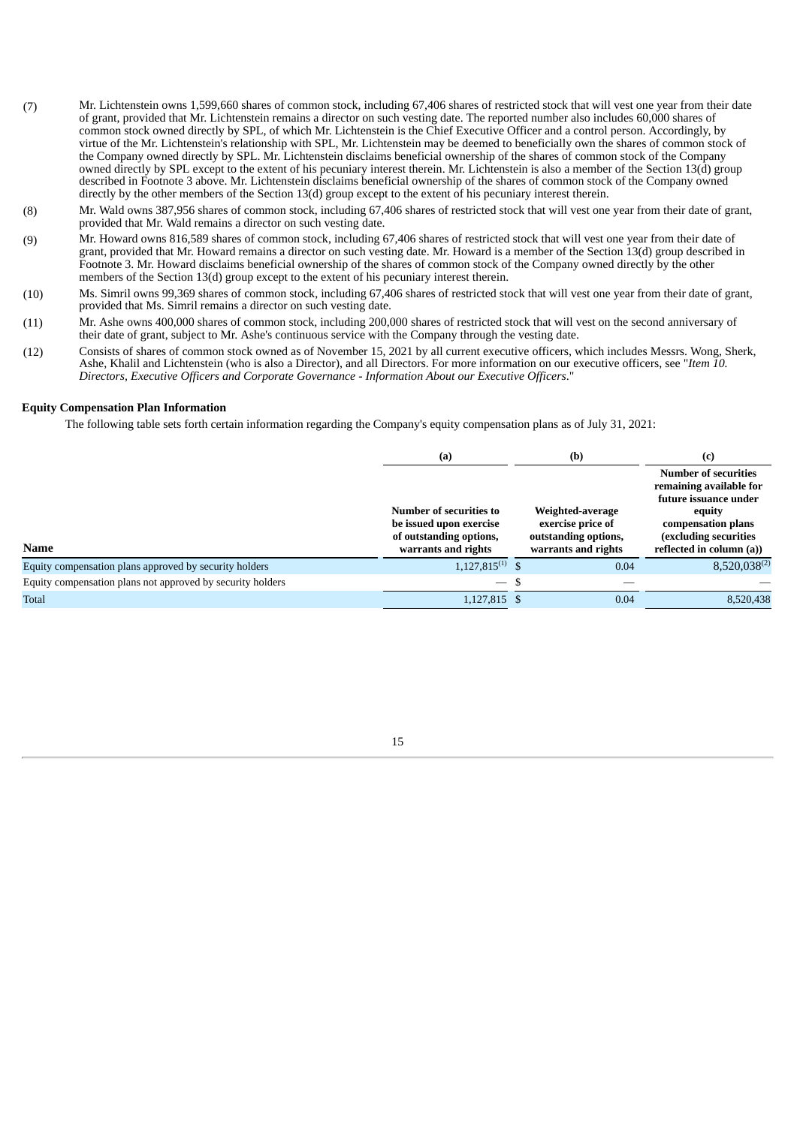- (7) Mr. Lichtenstein owns 1,599,660 shares of common stock, including 67,406 shares of restricted stock that will vest one year from their date of grant, provided that Mr. Lichtenstein remains a director on such vesting date. The reported number also includes 60,000 shares of common stock owned directly by SPL, of which Mr. Lichtenstein is the Chief Executive Officer and a control person. Accordingly, by virtue of the Mr. Lichtenstein's relationship with SPL, Mr. Lichtenstein may be deemed to beneficially own the shares of common stock of the Company owned directly by SPL. Mr. Lichtenstein disclaims beneficial ownership of the shares of common stock of the Company owned directly by SPL except to the extent of his pecuniary interest therein. Mr. Lichtenstein is also a member of the Section 13(d) group described in Footnote 3 above. Mr. Lichtenstein disclaims beneficial ownership of the shares of common stock of the Company owned directly by the other members of the Section 13(d) group except to the extent of his pecuniary interest therein.
- (8) Mr. Wald owns 387,956 shares of common stock, including 67,406 shares of restricted stock that will vest one year from their date of grant, provided that Mr. Wald remains a director on such vesting date.
- (9) Mr. Howard owns 816,589 shares of common stock, including 67,406 shares of restricted stock that will vest one year from their date of grant, provided that Mr. Howard remains a director on such vesting date. Mr. Howard is a member of the Section 13(d) group described in Footnote 3. Mr. Howard disclaims beneficial ownership of the shares of common stock of the Company owned directly by the other members of the Section 13(d) group except to the extent of his pecuniary interest therein.
- (10) Ms. Simril owns 99,369 shares of common stock, including 67,406 shares of restricted stock that will vest one year from their date of grant, provided that Ms. Simril remains a director on such vesting date.
- (11) Mr. Ashe owns 400,000 shares of common stock, including 200,000 shares of restricted stock that will vest on the second anniversary of their date of grant, subject to Mr. Ashe's continuous service with the Company through the vesting date.
- (12) Consists of shares of common stock owned as of November 15, 2021 by all current executive officers, which includes Messrs. Wong, Sherk, Ashe, Khalil and Lichtenstein (who is also a Director), and all Directors. For more information on our executive officers, see "*Item 10. Directors, Executive Officers and Corporate Governance - Information About our Executive Officers*."

### **Equity Compensation Plan Information**

The following table sets forth certain information regarding the Company's equity compensation plans as of July 31, 2021:

|                                                            | (a)                                                                                                  | (b)                                                                                  | (c)                                                                                                                                                                  |  |
|------------------------------------------------------------|------------------------------------------------------------------------------------------------------|--------------------------------------------------------------------------------------|----------------------------------------------------------------------------------------------------------------------------------------------------------------------|--|
| <b>Name</b>                                                | Number of securities to<br>be issued upon exercise<br>of outstanding options,<br>warrants and rights | Weighted-average<br>exercise price of<br>outstanding options,<br>warrants and rights | <b>Number of securities</b><br>remaining available for<br>future issuance under<br>equity<br>compensation plans<br>(excluding securities<br>reflected in column (a)) |  |
| Equity compensation plans approved by security holders     | $1,127,815^{(1)}$ \$                                                                                 | 0.04                                                                                 | $8,520,038^{(2)}$                                                                                                                                                    |  |
| Equity compensation plans not approved by security holders | $\overline{\phantom{m}}$                                                                             |                                                                                      |                                                                                                                                                                      |  |
| <b>Total</b>                                               | 1,127,815 \$                                                                                         | 0.04                                                                                 | 8,520,438                                                                                                                                                            |  |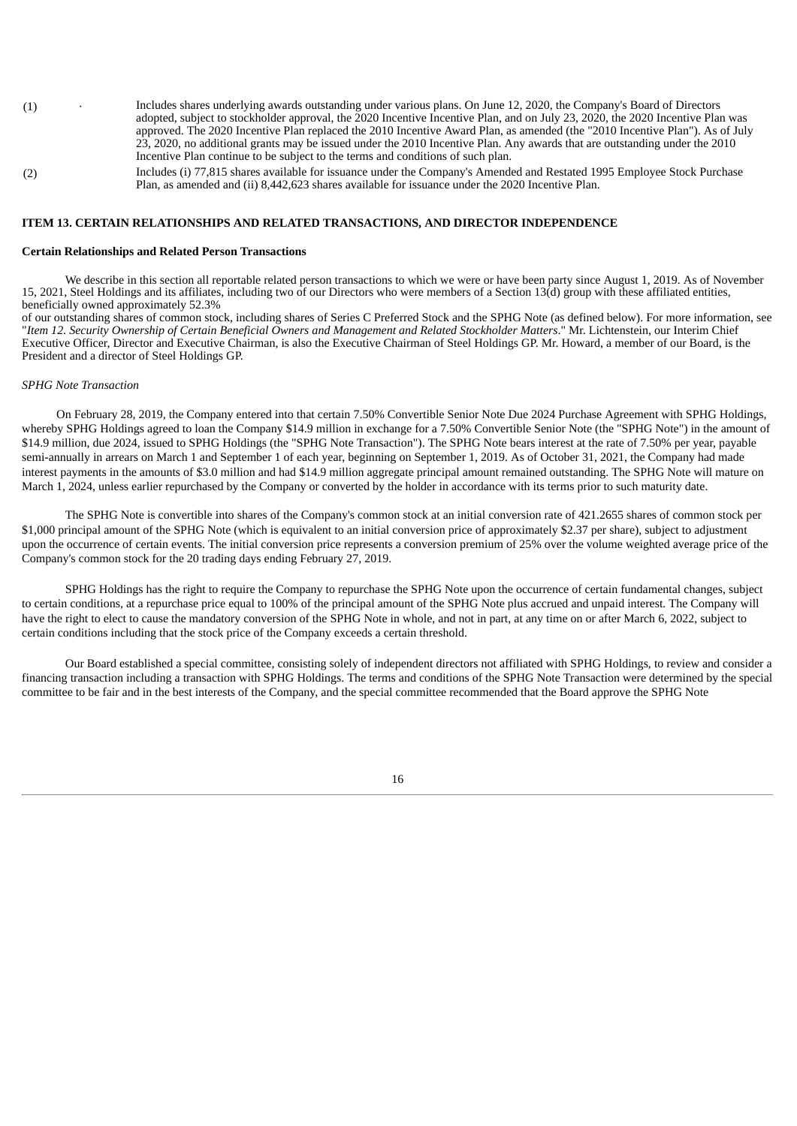- (1) · Includes shares underlying awards outstanding under various plans. On June 12, 2020, the Company's Board of Directors adopted, subject to stockholder approval, the 2020 Incentive Incentive Plan, and on July 23, 2020, the 2020 Incentive Plan was approved. The 2020 Incentive Plan replaced the 2010 Incentive Award Plan, as amended (the "2010 Incentive Plan"). As of July 23, 2020, no additional grants may be issued under the 2010 Incentive Plan. Any awards that are outstanding under the 2010 Incentive Plan continue to be subject to the terms and conditions of such plan.
- (2) Includes (i) 77,815 shares available for issuance under the Company's Amended and Restated 1995 Employee Stock Purchase Plan, as amended and (ii) 8,442,623 shares available for issuance under the 2020 Incentive Plan.

## **ITEM 13. CERTAIN RELATIONSHIPS AND RELATED TRANSACTIONS, AND DIRECTOR INDEPENDENCE**

#### **Certain Relationships and Related Person Transactions**

We describe in this section all reportable related person transactions to which we were or have been party since August 1, 2019. As of November 15, 2021, Steel Holdings and its affiliates, including two of our Directors who were members of a Section 13(d) group with these affiliated entities, beneficially owned approximately 52.3%

of our outstanding shares of common stock, including shares of Series C Preferred Stock and the SPHG Note (as defined below). For more information, see "Item 12. Security Ownership of Certain Beneficial Owners and Management and Related Stockholder Matters." Mr. Lichtenstein, our Interim Chief Executive Officer, Director and Executive Chairman, is also the Executive Chairman of Steel Holdings GP. Mr. Howard, a member of our Board, is the President and a director of Steel Holdings GP.

#### *SPHG Note Transaction*

On February 28, 2019, the Company entered into that certain 7.50% Convertible Senior Note Due 2024 Purchase Agreement with SPHG Holdings, whereby SPHG Holdings agreed to loan the Company \$14.9 million in exchange for a 7.50% Convertible Senior Note (the "SPHG Note") in the amount of \$14.9 million, due 2024, issued to SPHG Holdings (the "SPHG Note Transaction"). The SPHG Note bears interest at the rate of 7.50% per year, payable semi-annually in arrears on March 1 and September 1 of each year, beginning on September 1, 2019. As of October 31, 2021, the Company had made interest payments in the amounts of \$3.0 million and had \$14.9 million aggregate principal amount remained outstanding. The SPHG Note will mature on March 1, 2024, unless earlier repurchased by the Company or converted by the holder in accordance with its terms prior to such maturity date.

The SPHG Note is convertible into shares of the Company's common stock at an initial conversion rate of 421.2655 shares of common stock per \$1,000 principal amount of the SPHG Note (which is equivalent to an initial conversion price of approximately \$2.37 per share), subject to adjustment upon the occurrence of certain events. The initial conversion price represents a conversion premium of 25% over the volume weighted average price of the Company's common stock for the 20 trading days ending February 27, 2019.

SPHG Holdings has the right to require the Company to repurchase the SPHG Note upon the occurrence of certain fundamental changes, subject to certain conditions, at a repurchase price equal to 100% of the principal amount of the SPHG Note plus accrued and unpaid interest. The Company will have the right to elect to cause the mandatory conversion of the SPHG Note in whole, and not in part, at any time on or after March 6, 2022, subject to certain conditions including that the stock price of the Company exceeds a certain threshold.

Our Board established a special committee, consisting solely of independent directors not affiliated with SPHG Holdings, to review and consider a financing transaction including a transaction with SPHG Holdings. The terms and conditions of the SPHG Note Transaction were determined by the special committee to be fair and in the best interests of the Company, and the special committee recommended that the Board approve the SPHG Note

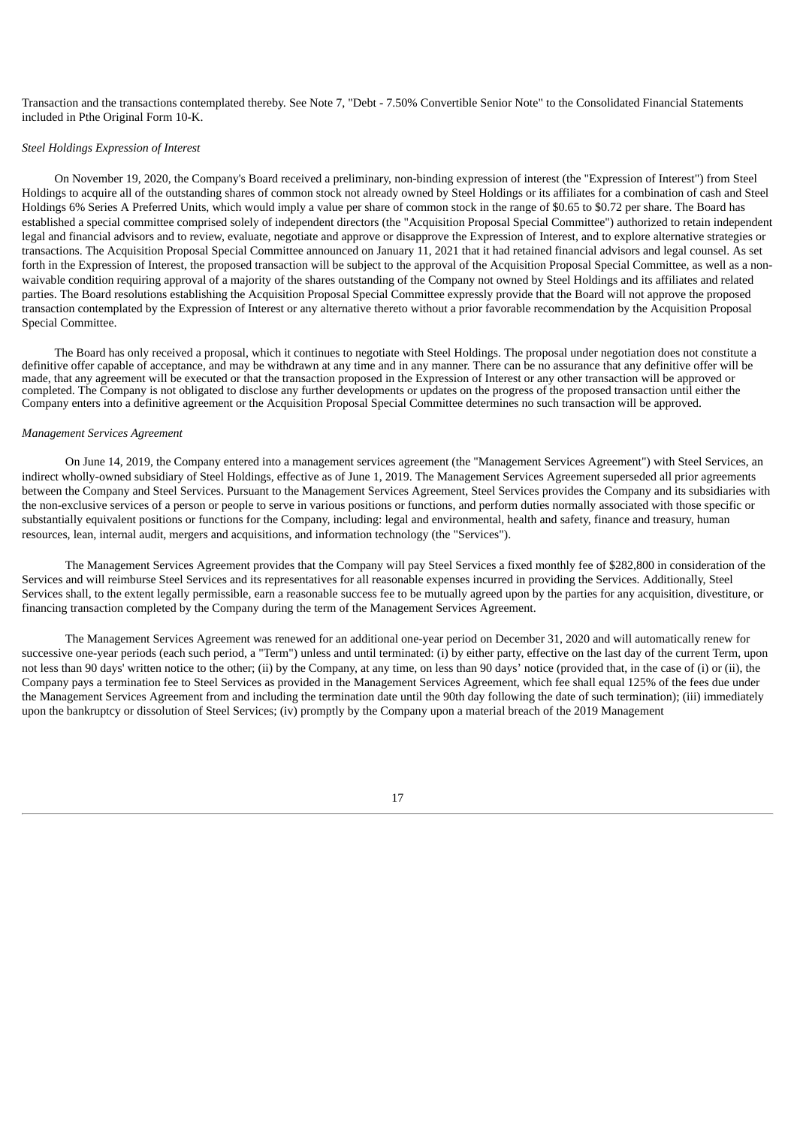Transaction and the transactions contemplated thereby. See Note 7, "Debt - 7.50% Convertible Senior Note" to the Consolidated Financial Statements included in Pthe Original Form 10-K.

#### *Steel Holdings Expression of Interest*

On November 19, 2020, the Company's Board received a preliminary, non-binding expression of interest (the "Expression of Interest") from Steel Holdings to acquire all of the outstanding shares of common stock not already owned by Steel Holdings or its affiliates for a combination of cash and Steel Holdings 6% Series A Preferred Units, which would imply a value per share of common stock in the range of \$0.65 to \$0.72 per share. The Board has established a special committee comprised solely of independent directors (the "Acquisition Proposal Special Committee") authorized to retain independent legal and financial advisors and to review, evaluate, negotiate and approve or disapprove the Expression of Interest, and to explore alternative strategies or transactions. The Acquisition Proposal Special Committee announced on January 11, 2021 that it had retained financial advisors and legal counsel. As set forth in the Expression of Interest, the proposed transaction will be subject to the approval of the Acquisition Proposal Special Committee, as well as a nonwaivable condition requiring approval of a majority of the shares outstanding of the Company not owned by Steel Holdings and its affiliates and related parties. The Board resolutions establishing the Acquisition Proposal Special Committee expressly provide that the Board will not approve the proposed transaction contemplated by the Expression of Interest or any alternative thereto without a prior favorable recommendation by the Acquisition Proposal Special Committee.

The Board has only received a proposal, which it continues to negotiate with Steel Holdings. The proposal under negotiation does not constitute a definitive offer capable of acceptance, and may be withdrawn at any time and in any manner. There can be no assurance that any definitive offer will be made, that any agreement will be executed or that the transaction proposed in the Expression of Interest or any other transaction will be approved or completed. The Company is not obligated to disclose any further developments or updates on the progress of the proposed transaction until either the Company enters into a definitive agreement or the Acquisition Proposal Special Committee determines no such transaction will be approved.

### *Management Services Agreement*

On June 14, 2019, the Company entered into a management services agreement (the "Management Services Agreement") with Steel Services, an indirect wholly-owned subsidiary of Steel Holdings, effective as of June 1, 2019. The Management Services Agreement superseded all prior agreements between the Company and Steel Services. Pursuant to the Management Services Agreement, Steel Services provides the Company and its subsidiaries with the non-exclusive services of a person or people to serve in various positions or functions, and perform duties normally associated with those specific or substantially equivalent positions or functions for the Company, including: legal and environmental, health and safety, finance and treasury, human resources, lean, internal audit, mergers and acquisitions, and information technology (the "Services").

The Management Services Agreement provides that the Company will pay Steel Services a fixed monthly fee of \$282,800 in consideration of the Services and will reimburse Steel Services and its representatives for all reasonable expenses incurred in providing the Services. Additionally, Steel Services shall, to the extent legally permissible, earn a reasonable success fee to be mutually agreed upon by the parties for any acquisition, divestiture, or financing transaction completed by the Company during the term of the Management Services Agreement.

The Management Services Agreement was renewed for an additional one-year period on December 31, 2020 and will automatically renew for successive one-year periods (each such period, a "Term") unless and until terminated: (i) by either party, effective on the last day of the current Term, upon not less than 90 days' written notice to the other; (ii) by the Company, at any time, on less than 90 days' notice (provided that, in the case of (i) or (ii), the Company pays a termination fee to Steel Services as provided in the Management Services Agreement, which fee shall equal 125% of the fees due under the Management Services Agreement from and including the termination date until the 90th day following the date of such termination); (iii) immediately upon the bankruptcy or dissolution of Steel Services; (iv) promptly by the Company upon a material breach of the 2019 Management

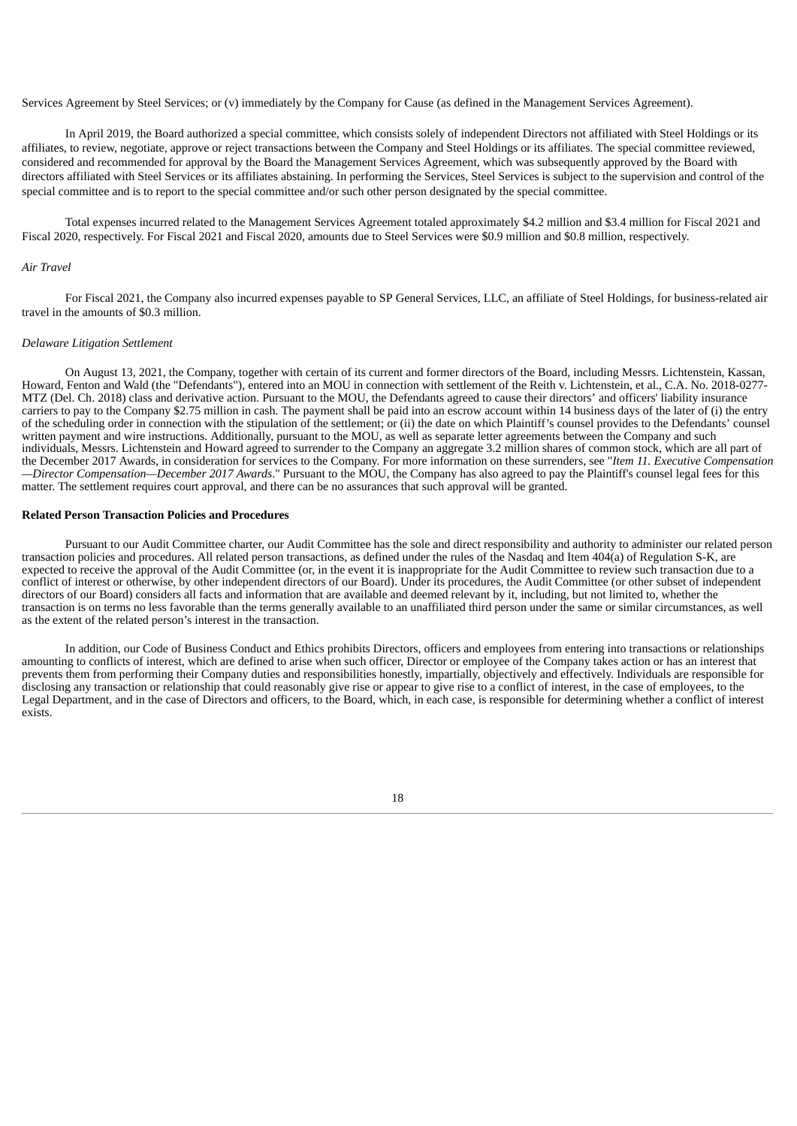Services Agreement by Steel Services; or (v) immediately by the Company for Cause (as defined in the Management Services Agreement).

In April 2019, the Board authorized a special committee, which consists solely of independent Directors not affiliated with Steel Holdings or its affiliates, to review, negotiate, approve or reject transactions between the Company and Steel Holdings or its affiliates. The special committee reviewed, considered and recommended for approval by the Board the Management Services Agreement, which was subsequently approved by the Board with directors affiliated with Steel Services or its affiliates abstaining. In performing the Services, Steel Services is subject to the supervision and control of the special committee and is to report to the special committee and/or such other person designated by the special committee.

Total expenses incurred related to the Management Services Agreement totaled approximately \$4.2 million and \$3.4 million for Fiscal 2021 and Fiscal 2020, respectively. For Fiscal 2021 and Fiscal 2020, amounts due to Steel Services were \$0.9 million and \$0.8 million, respectively.

#### *Air Travel*

For Fiscal 2021, the Company also incurred expenses payable to SP General Services, LLC, an affiliate of Steel Holdings, for business-related air travel in the amounts of \$0.3 million.

## *Delaware Litigation Settlement*

On August 13, 2021, the Company, together with certain of its current and former directors of the Board, including Messrs. Lichtenstein, Kassan, Howard, Fenton and Wald (the "Defendants"), entered into an MOU in connection with settlement of the Reith v. Lichtenstein, et al., C.A. No. 2018-0277- MTZ (Del. Ch. 2018) class and derivative action. Pursuant to the MOU, the Defendants agreed to cause their directors' and officers' liability insurance carriers to pay to the Company \$2.75 million in cash. The payment shall be paid into an escrow account within 14 business days of the later of (i) the entry of the scheduling order in connection with the stipulation of the settlement; or (ii) the date on which Plaintiff's counsel provides to the Defendants' counsel written payment and wire instructions. Additionally, pursuant to the MOU, as well as separate letter agreements between the Company and such individuals, Messrs. Lichtenstein and Howard agreed to surrender to the Company an aggregate 3.2 million shares of common stock, which are all part of the December 2017 Awards, in consideration for services to the Company. For more information on these surrenders, see "*Item 11. Executive Compensation —Director Compensation—December 2017 Awards*." Pursuant to the MOU, the Company has also agreed to pay the Plaintiff's counsel legal fees for this matter. The settlement requires court approval, and there can be no assurances that such approval will be granted.

### **Related Person Transaction Policies and Procedures**

Pursuant to our Audit Committee charter, our Audit Committee has the sole and direct responsibility and authority to administer our related person transaction policies and procedures. All related person transactions, as defined under the rules of the Nasdaq and Item 404(a) of Regulation S-K, are expected to receive the approval of the Audit Committee (or, in the event it is inappropriate for the Audit Committee to review such transaction due to a conflict of interest or otherwise, by other independent directors of our Board). Under its procedures, the Audit Committee (or other subset of independent directors of our Board) considers all facts and information that are available and deemed relevant by it, including, but not limited to, whether the transaction is on terms no less favorable than the terms generally available to an unaffiliated third person under the same or similar circumstances, as well as the extent of the related person's interest in the transaction.

In addition, our Code of Business Conduct and Ethics prohibits Directors, officers and employees from entering into transactions or relationships amounting to conflicts of interest, which are defined to arise when such officer, Director or employee of the Company takes action or has an interest that prevents them from performing their Company duties and responsibilities honestly, impartially, objectively and effectively. Individuals are responsible for disclosing any transaction or relationship that could reasonably give rise or appear to give rise to a conflict of interest, in the case of employees, to the Legal Department, and in the case of Directors and officers, to the Board, which, in each case, is responsible for determining whether a conflict of interest exists.

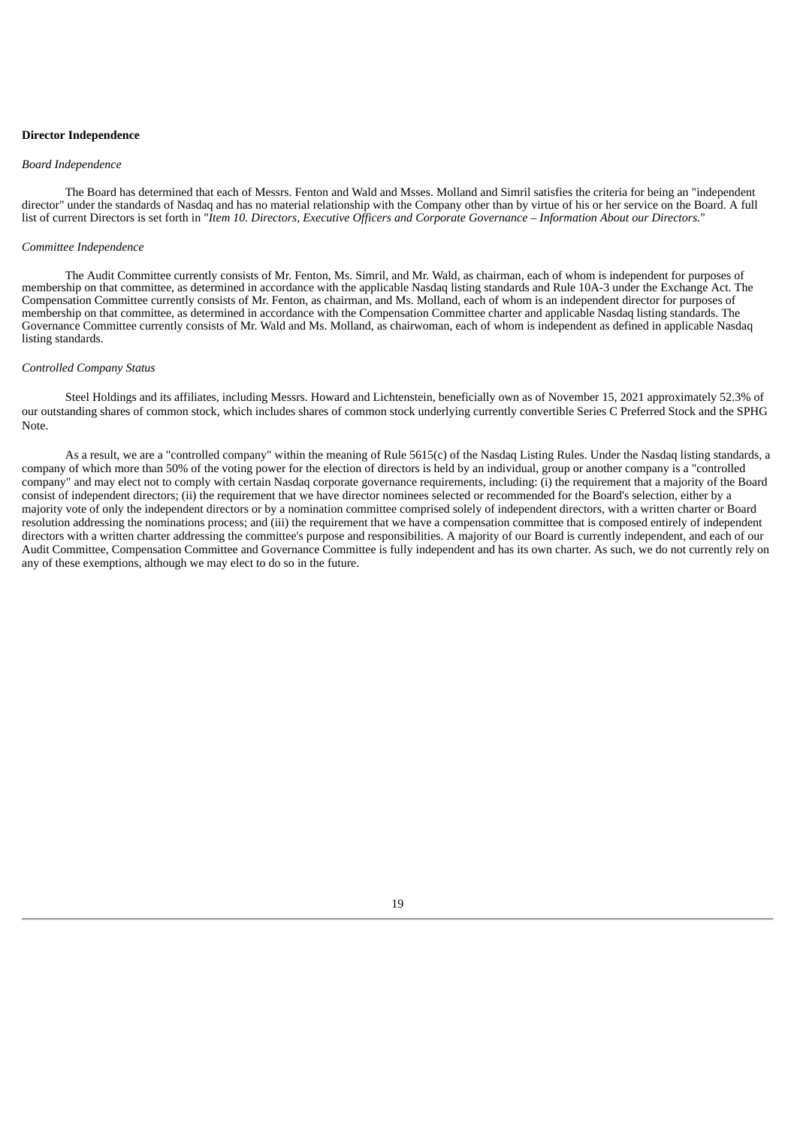#### **Director Independence**

#### *Board Independence*

The Board has determined that each of Messrs. Fenton and Wald and Msses. Molland and Simril satisfies the criteria for being an "independent director" under the standards of Nasdaq and has no material relationship with the Company other than by virtue of his or her service on the Board. A full list of current Directors is set forth in "Item 10. Directors, Executive Officers and Corporate Governance - Information About our Directors."

### *Committee Independence*

The Audit Committee currently consists of Mr. Fenton, Ms. Simril, and Mr. Wald, as chairman, each of whom is independent for purposes of membership on that committee, as determined in accordance with the applicable Nasdaq listing standards and Rule 10A-3 under the Exchange Act. The Compensation Committee currently consists of Mr. Fenton, as chairman, and Ms. Molland, each of whom is an independent director for purposes of membership on that committee, as determined in accordance with the Compensation Committee charter and applicable Nasdaq listing standards. The Governance Committee currently consists of Mr. Wald and Ms. Molland, as chairwoman, each of whom is independent as defined in applicable Nasdaq listing standards.

### *Controlled Company Status*

Steel Holdings and its affiliates, including Messrs. Howard and Lichtenstein, beneficially own as of November 15, 2021 approximately 52.3% of our outstanding shares of common stock, which includes shares of common stock underlying currently convertible Series C Preferred Stock and the SPHG Note.

As a result, we are a "controlled company" within the meaning of Rule 5615(c) of the Nasdaq Listing Rules. Under the Nasdaq listing standards, a company of which more than 50% of the voting power for the election of directors is held by an individual, group or another company is a "controlled company" and may elect not to comply with certain Nasdaq corporate governance requirements, including: (i) the requirement that a majority of the Board consist of independent directors; (ii) the requirement that we have director nominees selected or recommended for the Board's selection, either by a majority vote of only the independent directors or by a nomination committee comprised solely of independent directors, with a written charter or Board resolution addressing the nominations process; and (iii) the requirement that we have a compensation committee that is composed entirely of independent directors with a written charter addressing the committee's purpose and responsibilities. A majority of our Board is currently independent, and each of our Audit Committee, Compensation Committee and Governance Committee is fully independent and has its own charter. As such, we do not currently rely on any of these exemptions, although we may elect to do so in the future.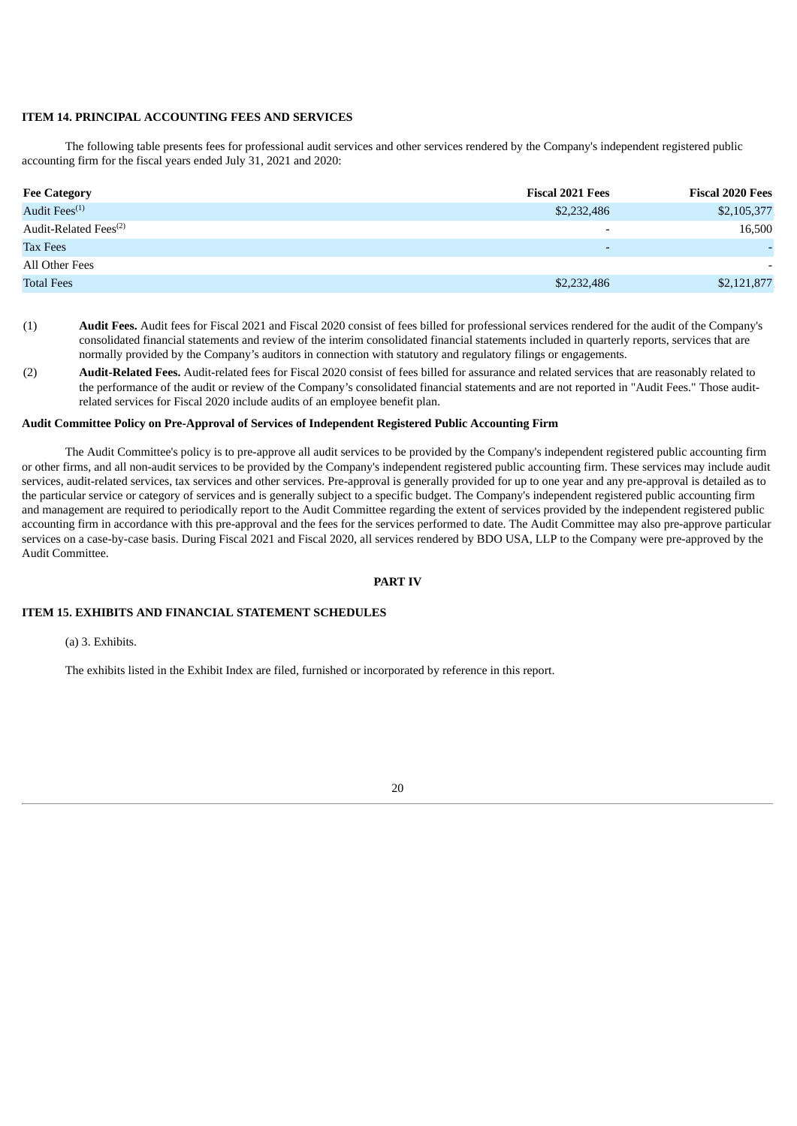## **ITEM 14. PRINCIPAL ACCOUNTING FEES AND SERVICES**

The following table presents fees for professional audit services and other services rendered by the Company's independent registered public accounting firm for the fiscal years ended July 31, 2021 and 2020:

| <b>Fee Category</b>               | <b>Fiscal 2021 Fees</b>  | <b>Fiscal 2020 Fees</b> |
|-----------------------------------|--------------------------|-------------------------|
| Audit Fees <sup>(1)</sup>         | \$2,232,486              | \$2,105,377             |
| Audit-Related Fees <sup>(2)</sup> |                          | 16,500                  |
| <b>Tax Fees</b>                   | $\overline{\phantom{0}}$ |                         |
| All Other Fees                    |                          |                         |
| <b>Total Fees</b>                 | \$2,232,486              | \$2,121,877             |

- (1) **Audit Fees.** Audit fees for Fiscal 2021 and Fiscal 2020 consist of fees billed for professional services rendered for the audit of the Company's consolidated financial statements and review of the interim consolidated financial statements included in quarterly reports, services that are normally provided by the Company's auditors in connection with statutory and regulatory filings or engagements.
- (2) **Audit-Related Fees.** Audit-related fees for Fiscal 2020 consist of fees billed for assurance and related services that are reasonably related to the performance of the audit or review of the Company's consolidated financial statements and are not reported in "Audit Fees." Those auditrelated services for Fiscal 2020 include audits of an employee benefit plan.

## **Audit Committee Policy on Pre-Approval of Services of Independent Registered Public Accounting Firm**

The Audit Committee's policy is to pre-approve all audit services to be provided by the Company's independent registered public accounting firm or other firms, and all non-audit services to be provided by the Company's independent registered public accounting firm. These services may include audit services, audit-related services, tax services and other services. Pre-approval is generally provided for up to one year and any pre-approval is detailed as to the particular service or category of services and is generally subject to a specific budget. The Company's independent registered public accounting firm and management are required to periodically report to the Audit Committee regarding the extent of services provided by the independent registered public accounting firm in accordance with this pre-approval and the fees for the services performed to date. The Audit Committee may also pre-approve particular services on a case-by-case basis. During Fiscal 2021 and Fiscal 2020, all services rendered by BDO USA, LLP to the Company were pre-approved by the Audit Committee.

## **PART IV**

## **ITEM 15. EXHIBITS AND FINANCIAL STATEMENT SCHEDULES**

(a) 3. Exhibits.

The exhibits listed in the Exhibit Index are filed, furnished or incorporated by reference in this report.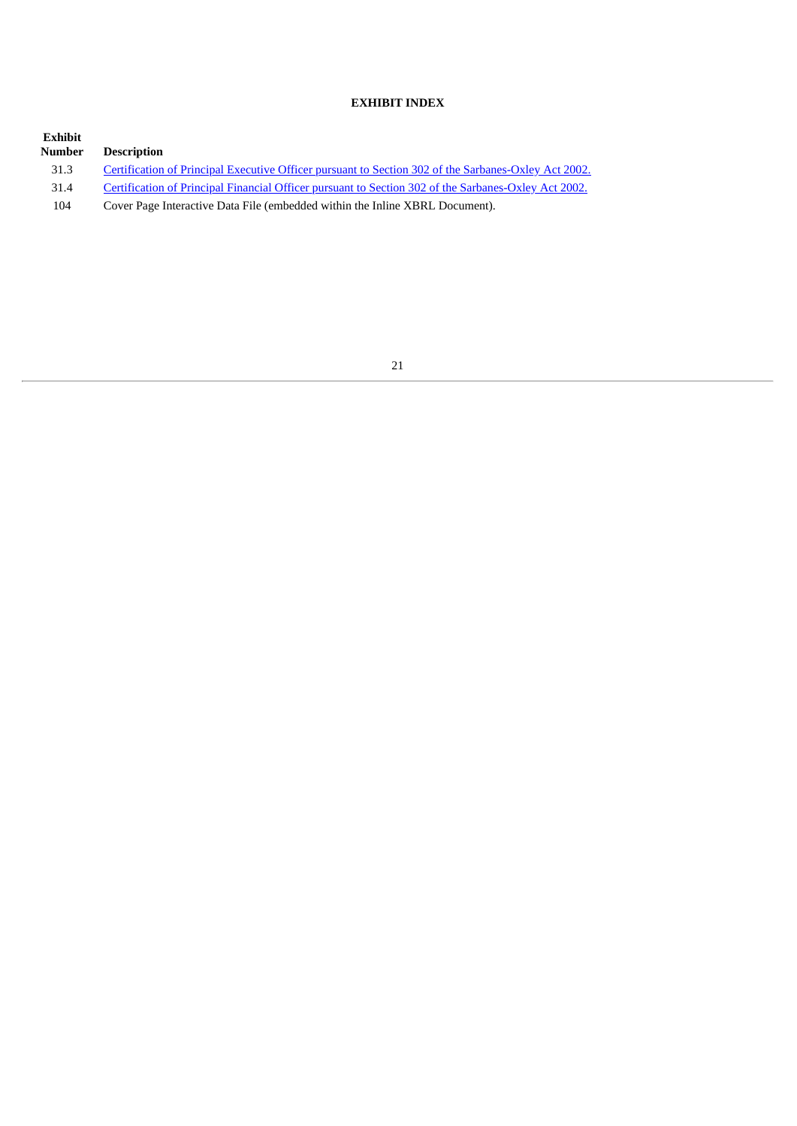## **EXHIBIT INDEX**

| Exhibit<br>Number | <b>Description</b>                                                                                   |
|-------------------|------------------------------------------------------------------------------------------------------|
| 31.3              | Certification of Principal Executive Officer pursuant to Section 302 of the Sarbanes-Oxley Act 2002. |
| 31.4              | Certification of Principal Financial Officer pursuant to Section 302 of the Sarbanes-Oxley Act 2002. |
| 104               | Cover Page Interactive Data File (embedded within the Inline XBRL Document).                         |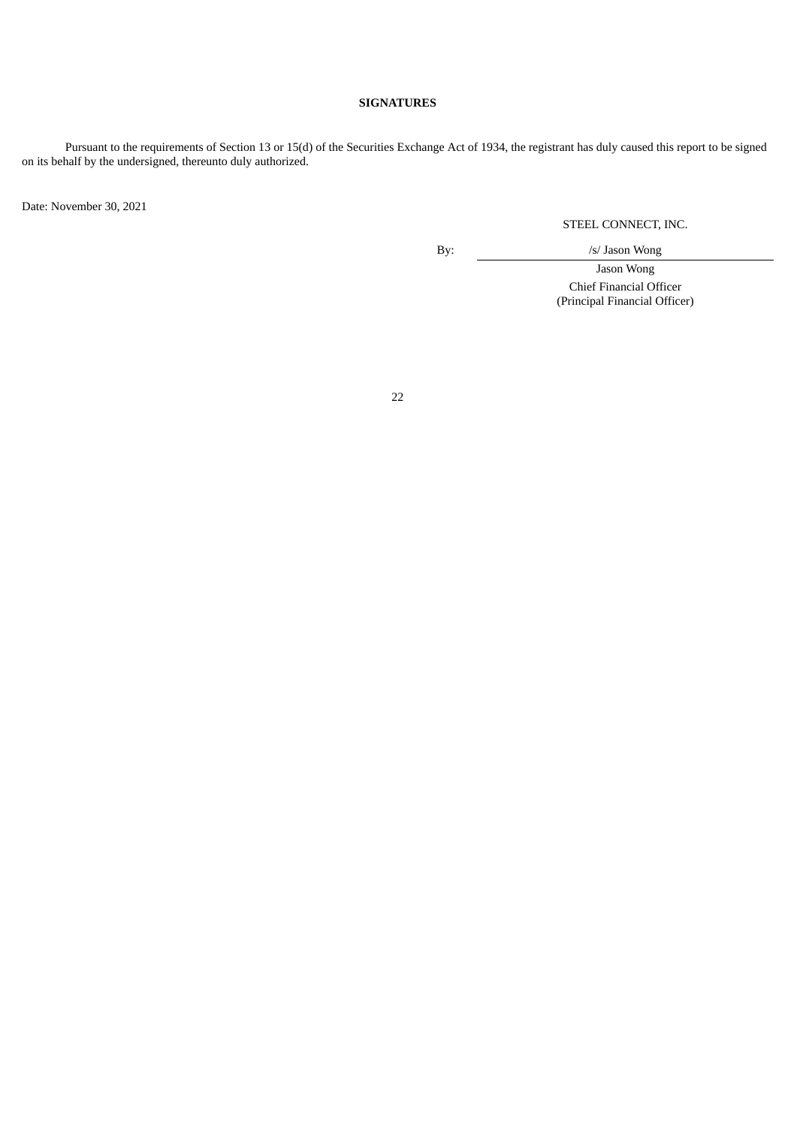## **SIGNATURES**

Pursuant to the requirements of Section 13 or 15(d) of the Securities Exchange Act of 1934, the registrant has duly caused this report to be signed on its behalf by the undersigned, thereunto duly authorized.

Date: November 30, 2021

STEEL CONNECT, INC.

By:  $\frac{1}{s}$  /s/ Jason Wong

Jason Wong Chief Financial Officer

(Principal Financial Officer)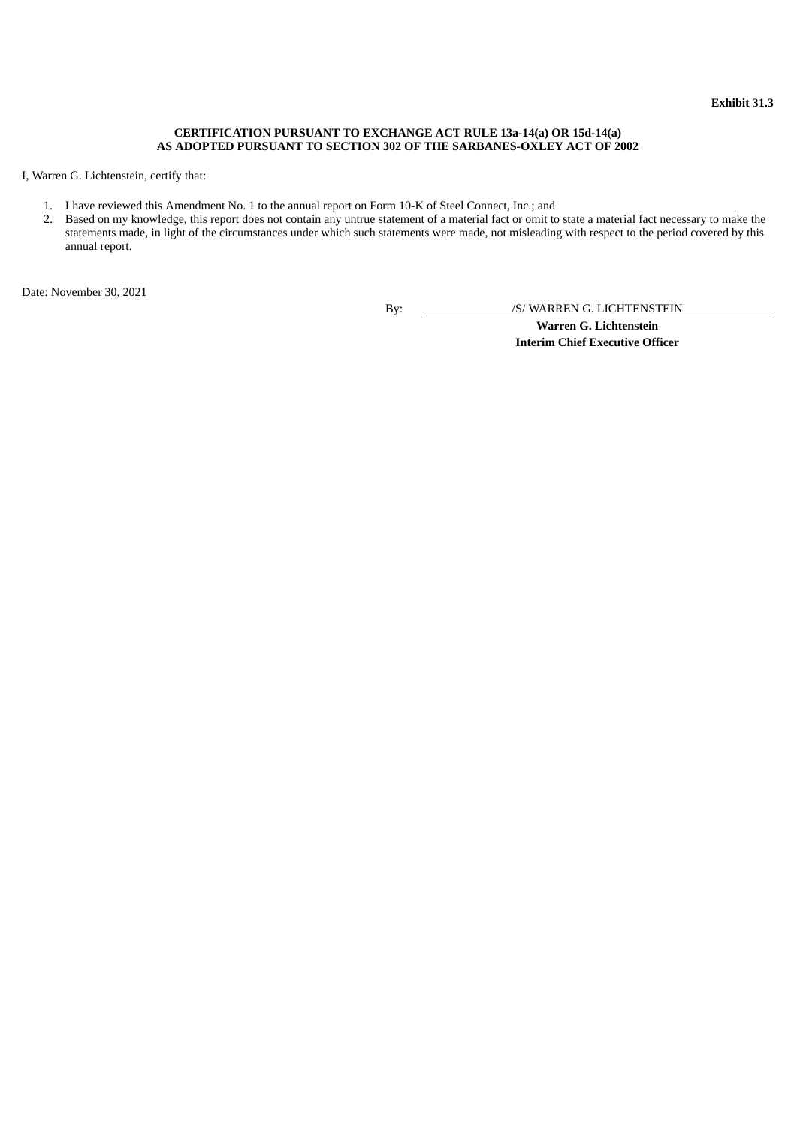## **CERTIFICATION PURSUANT TO EXCHANGE ACT RULE 13a-14(a) OR 15d-14(a) AS ADOPTED PURSUANT TO SECTION 302 OF THE SARBANES-OXLEY ACT OF 2002**

<span id="page-25-0"></span>I, Warren G. Lichtenstein, certify that:

- 1. I have reviewed this Amendment No. 1 to the annual report on Form 10-K of Steel Connect, Inc.; and
- 2. Based on my knowledge, this report does not contain any untrue statement of a material fact or omit to state a material fact necessary to make the statements made, in light of the circumstances under which such statements were made, not misleading with respect to the period covered by this annual report.

Date: November 30, 2021

By: /S/ WARREN G. LICHTENSTEIN

**Warren G. Lichtenstein Interim Chief Executive Officer**